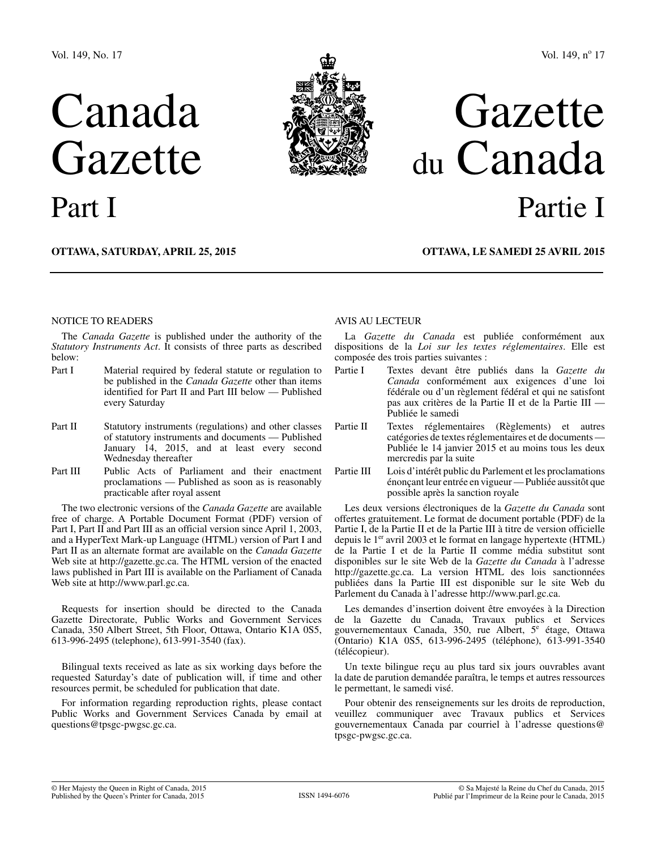# Canada Gazette Part I



## Vol. 149, nº 17

## Gazette du Canada Partie I

**OTTAWA, Saturday, April 25, 2015**

**OTTAWA, LE samedi 25 avril 2015**

#### NOTICE TO READERS

The *Canada Gazette* is published under the authority of the *Statutory Instruments Act*. It consists of three parts as described below:

- Part I Material required by federal statute or regulation to be published in the *Canada Gazette* other than items identified for Part II and Part III below — Published every Saturday
- Part II Statutory instruments (regulations) and other classes of statutory instruments and documents — Published January 14, 2015, and at least every second Wednesday thereafter
- Part III Public Acts of Parliament and their enactment proclamations — Published as soon as is reasonably practicable after royal assent

The two electronic versions of the *Canada Gazette* are available free of charge. A Portable Document Format (PDF) version of Part I, Part II and Part III as an official version since April 1, 2003, and a HyperText Mark-up Language (HTML) version of Part I and Part II as an alternate format are available on the *Canada Gazette* Web site at http://gazette.gc.ca. The HTML version of the enacted laws published in Part III is available on the Parliament of Canada Web site at http://www.parl.gc.ca.

Requests for insertion should be directed to the Canada Gazette Directorate, Public Works and Government Services Canada, 350 Albert Street, 5th Floor, Ottawa, Ontario K1A 0S5, 613-996-2495 (telephone), 613-991-3540 (fax).

Bilingual texts received as late as six working days before the requested Saturday's date of publication will, if time and other resources permit, be scheduled for publication that date.

For information regarding reproduction rights, please contact Public Works and Government Services Canada by email at questions@tpsgc-pwgsc.gc.ca.

#### AVIS AU LECTEUR

La *Gazette du Canada* est publiée conformément aux dispositions de la *Loi sur les textes réglementaires*. Elle est composée des trois parties suivantes :

- Partie I Textes devant être publiés dans la *Gazette du Canada* conformément aux exigences d'une loi fédérale ou d'un règlement fédéral et qui ne satisfont pas aux critères de la Partie II et de la Partie III — Publiée le samedi
- Partie II Textes réglementaires (Règlements) et autres catégories de textes réglementaires et de documents — Publiée le 14 janvier 2015 et au moins tous les deux mercredis par la suite
- Partie III Lois d'intérêt public du Parlement et les proclamations énonçant leur entrée en vigueur — Publiée aussitôt que possible après la sanction royale

Les deux versions électroniques de la *Gazette du Canada* sont offertes gratuitement. Le format de document portable (PDF) de la Partie I, de la Partie II et de la Partie III à titre de version officielle depuis le 1<sup>er</sup> avril 2003 et le format en langage hypertexte (HTML) de la Partie I et de la Partie II comme média substitut sont disponibles sur le site Web de la *Gazette du Canada* à l'adresse http://gazette.gc.ca. La version HTML des lois sanctionnées publiées dans la Partie III est disponible sur le site Web du Parlement du Canada à l'adresse http://www.parl.gc.ca.

Les demandes d'insertion doivent être envoyées à la Direction de la Gazette du Canada, Travaux publics et Services gouvernementaux Canada, 350, rue Albert, 5<sup>e</sup> étage, Ottawa (Ontario) K1A 0S5, 613-996-2495 (téléphone), 613-991-3540 (télécopieur).

Un texte bilingue reçu au plus tard six jours ouvrables avant la date de parution demandée paraîtra, le temps et autres ressources le permettant, le samedi visé.

Pour obtenir des renseignements sur les droits de reproduction, veuillez communiquer avec Travaux publics et Services gouvernementaux Canada par courriel à l'adresse questions  $@$ tpsgc-pwgsc.gc.ca.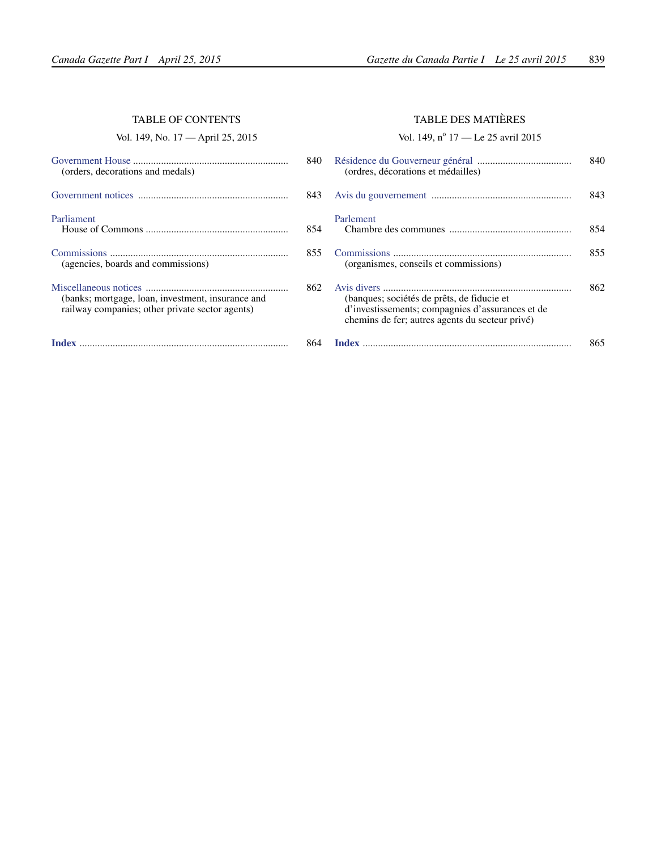#### TABLE OF CONTENTS

Vol. 149, No. 17 — April 25, 2015

| (orders, decorations and medals)                                                                     | 840 |
|------------------------------------------------------------------------------------------------------|-----|
|                                                                                                      | 843 |
| Parliament                                                                                           | 854 |
| (agencies, boards and commissions)                                                                   | 855 |
| (banks; mortgage, loan, investment, insurance and<br>railway companies; other private sector agents) | 862 |
|                                                                                                      | 864 |

## TABLE DES MATIÈRES

Vol. 149, nº 17 — Le 25 avril 2015

| 0              | (ordres, décorations et médailles)                                                                                                                | 840 |
|----------------|---------------------------------------------------------------------------------------------------------------------------------------------------|-----|
| 3              |                                                                                                                                                   | 843 |
| 4              | Parlement                                                                                                                                         | 854 |
| 5              | (organismes, conseils et commissions)                                                                                                             | 855 |
| $\overline{2}$ | (banques; sociétés de prêts, de fiducie et<br>d'investissements; compagnies d'assurances et de<br>chemins de fer; autres agents du secteur privé) | 862 |
|                |                                                                                                                                                   | 865 |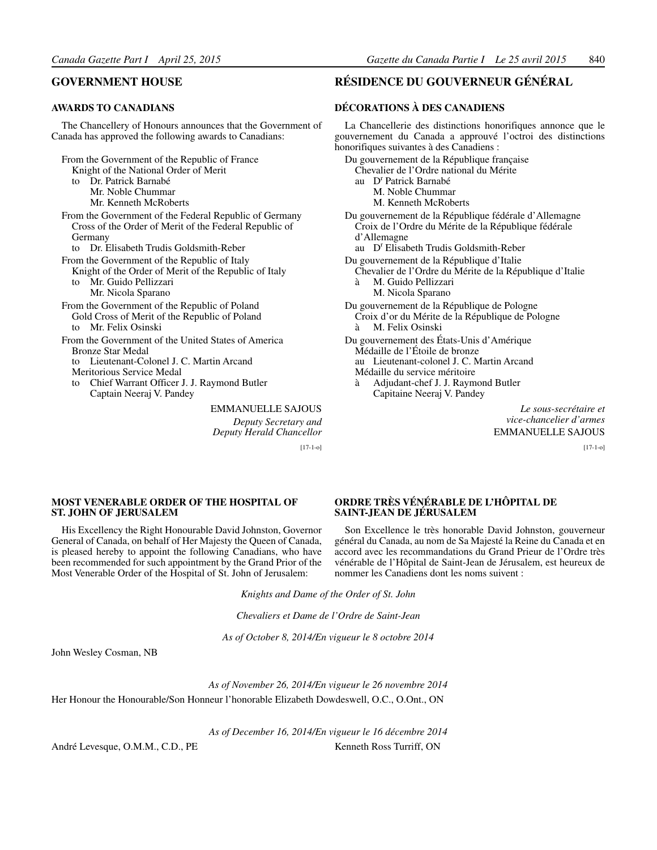#### <span id="page-2-0"></span>**GOVERNMENT HOUSE**

#### **AWARDS TO CANADIANS**

The Chancellery of Honours announces that the Government of Canada has approved the following awards to Canadians:

- From the Government of the Republic of France Knight of the National Order of Merit to Dr. Patrick Barnabé Mr. Noble Chummar Mr. Kenneth McRoberts From the Government of the Federal Republic of Germany Cross of the Order of Merit of the Federal Republic of Germany to Dr. Elisabeth Trudis Goldsmith-Reber From the Government of the Republic of Italy
	- Knight of the Order of Merit of the Republic of Italy to Mr. Guido Pellizzari
		- Mr. Nicola Sparano
- From the Government of the Republic of Poland Gold Cross of Merit of the Republic of Poland
	- to Mr. Felix Osinski
- From the Government of the United States of America Bronze Star Medal
	- to Lieutenant-Colonel J. C. Martin Arcand Meritorious Service Medal
	- to Chief Warrant Officer J. J. Raymond Butler Captain Neeraj V. Pandey

EMMANUELLE SAJOUS *Deputy Secretary and Deputy Herald Chancellor*

[17-1-o]

#### **RÉSIDENCE DU GOUVERNEUR GÉNÉRAL**

#### **DÉCORATIONS À DES CANADIENS**

La Chancellerie des distinctions honorifiques annonce que le gouvernement du Canada a approuvé l'octroi des distinctions honorifiques suivantes à des Canadiens : Du gouvernement de la République française Chevalier de l'Ordre national du Mérite au D<sup>r</sup> Patrick Barnabé M. Noble Chummar M. Kenneth McRoberts Du gouvernement de la République fédérale d'Allemagne Croix de l'Ordre du Mérite de la République fédérale d'Allemagne au D<sup>r</sup> Elisabeth Trudis Goldsmith-Reber Du gouvernement de la République d'Italie Chevalier de l'Ordre du Mérite de la République d'Italie à M. Guido Pellizzari M. Nicola Sparano

- Du gouvernement de la République de Pologne Croix d'or du Mérite de la République de Pologne à M. Felix Osinski
- Du gouvernement des États-Unis d'Amérique Médaille de l'Étoile de bronze au Lieutenant-colonel J. C. Martin Arcand Médaille du service méritoire
	-
	- à Adjudant-chef J. J. Raymond Butler Capitaine Neeraj V. Pandey

*Le sous-secrétaire et vice-chancelier d'armes* EMMANUELLE SAJOUS

[17-1-o]

#### **MOST VENERABLE ORDER OF THE HOSPITAL OF ST. JOHN OF JERUSALEM**

His Excellency the Right Honourable David Johnston, Governor General of Canada, on behalf of Her Majesty the Queen of Canada, is pleased hereby to appoint the following Canadians, who have been recommended for such appointment by the Grand Prior of the Most Venerable Order of the Hospital of St. John of Jerusalem:

#### **ORDRE TRÈS VÉNÉRABLE DE L'HÔPITAL DE SAINT-JEAN DE JÉRUSALEM**

Son Excellence le très honorable David Johnston, gouverneur général du Canada, au nom de Sa Majesté la Reine du Canada et en accord avec les recommandations du Grand Prieur de l'Ordre très vénérable de l'Hôpital de Saint-Jean de Jérusalem, est heureux de nommer les Canadiens dont les noms suivent :

*Knights and Dame of the Order of St. John*

*Chevaliers et Dame de l'Ordre de Saint-Jean*

*As of October 8, 2014/En vigueur le 8 octobre 2014*

John Wesley Cosman, NB

*As of November 26, 2014/En vigueur le 26 novembre 2014* Her Honour the Honourable/Son Honneur l'honorable Elizabeth Dowdeswell, O.C., O.Ont., ON

*As of December 16, 2014/En vigueur le 16 décembre 2014* André Levesque, O.M.M., C.D., PE Kenneth Ross Turriff, ON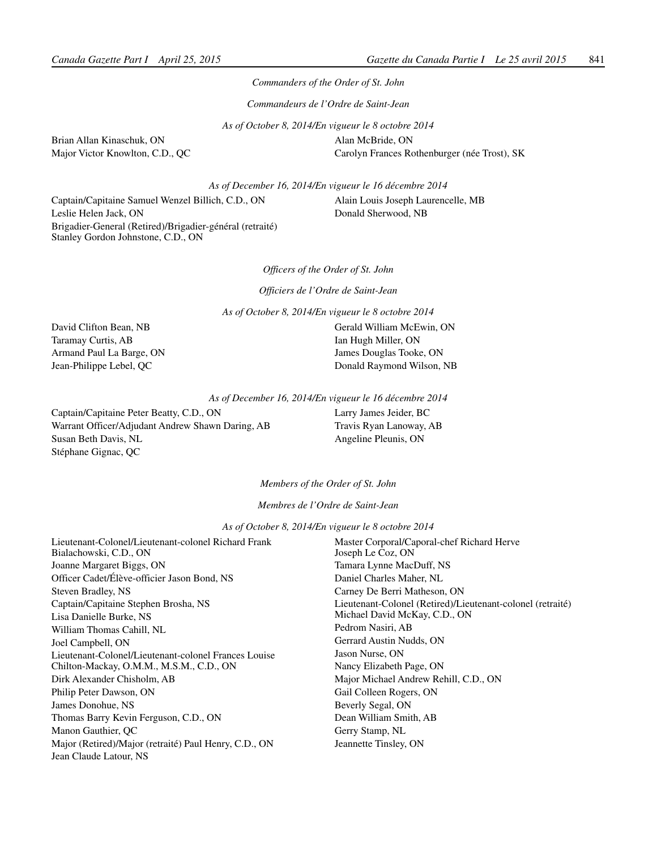*Commanders of the Order of St. John*

*Commandeurs de l'Ordre de Saint-Jean*

*As of October 8, 2014/En vigueur le 8 octobre 2014*

Brian Allan Kinaschuk, ON Major Victor Knowlton, C.D., QC

Alan McBride, ON Carolyn Frances Rothenburger (née Trost), SK

*As of December 16, 2014/En vigueur le 16 décembre 2014*

Captain/Capitaine Samuel Wenzel Billich, C.D., ON Leslie Helen Jack, ON Brigadier-General (Retired)/Brigadier-général (retraité) Stanley Gordon Johnstone, C.D., ON

Alain Louis Joseph Laurencelle, MB Donald Sherwood, NB

*Officers of the Order of St. John*

*Officiers de l'Ordre de Saint-Jean*

*As of October 8, 2014/En vigueur le 8 octobre 2014*

David Clifton Bean, NB Taramay Curtis, AB Armand Paul La Barge, ON Jean-Philippe Lebel, QC

Gerald William McEwin, ON Ian Hugh Miller, ON James Douglas Tooke, ON Donald Raymond Wilson, NB

*As of December 16, 2014/En vigueur le 16 décembre 2014*

Captain/Capitaine Peter Beatty, C.D., ON Warrant Officer/Adjudant Andrew Shawn Daring, AB Susan Beth Davis, NL Stéphane Gignac, QC

Larry James Jeider, BC Travis Ryan Lanoway, AB Angeline Pleunis, ON

*Members of the Order of St. John*

*Membres de l'Ordre de Saint-Jean*

*As of October 8, 2014/En vigueur le 8 octobre 2014*

| Lieutenant-Colonel/Lieutenant-colonel Richard Frank<br>Bialachowski, C.D., ON   | Master Corporal/Caporal-chef Richard Herve<br>Joseph Le Coz, ON                             |
|---------------------------------------------------------------------------------|---------------------------------------------------------------------------------------------|
| Joanne Margaret Biggs, ON                                                       | Tamara Lynne MacDuff, NS                                                                    |
| Officer Cadet/Élève-officier Jason Bond, NS                                     | Daniel Charles Maher, NL                                                                    |
| Steven Bradley, NS                                                              | Carney De Berri Matheson, ON                                                                |
| Captain/Capitaine Stephen Brosha, NS<br>Lisa Danielle Burke, NS                 | Lieutenant-Colonel (Retired)/Lieutenant-colonel (retraité)<br>Michael David McKay, C.D., ON |
| William Thomas Cahill, NL                                                       | Pedrom Nasiri, AB                                                                           |
| Joel Campbell, ON                                                               | Gerrard Austin Nudds, ON                                                                    |
| Lieutenant-Colonel/Lieutenant-colonel Frances Louise                            | Jason Nurse, ON                                                                             |
| Chilton-Mackay, O.M.M., M.S.M., C.D., ON                                        | Nancy Elizabeth Page, ON                                                                    |
| Dirk Alexander Chisholm, AB                                                     | Major Michael Andrew Rehill, C.D., ON                                                       |
| Philip Peter Dawson, ON                                                         | Gail Colleen Rogers, ON                                                                     |
| James Donohue, NS                                                               | Beverly Segal, ON                                                                           |
| Thomas Barry Kevin Ferguson, C.D., ON                                           | Dean William Smith, AB                                                                      |
| Manon Gauthier, OC                                                              | Gerry Stamp, NL                                                                             |
| Major (Retired)/Major (retraité) Paul Henry, C.D., ON<br>Jean Claude Latour, NS | Jeannette Tinsley, ON                                                                       |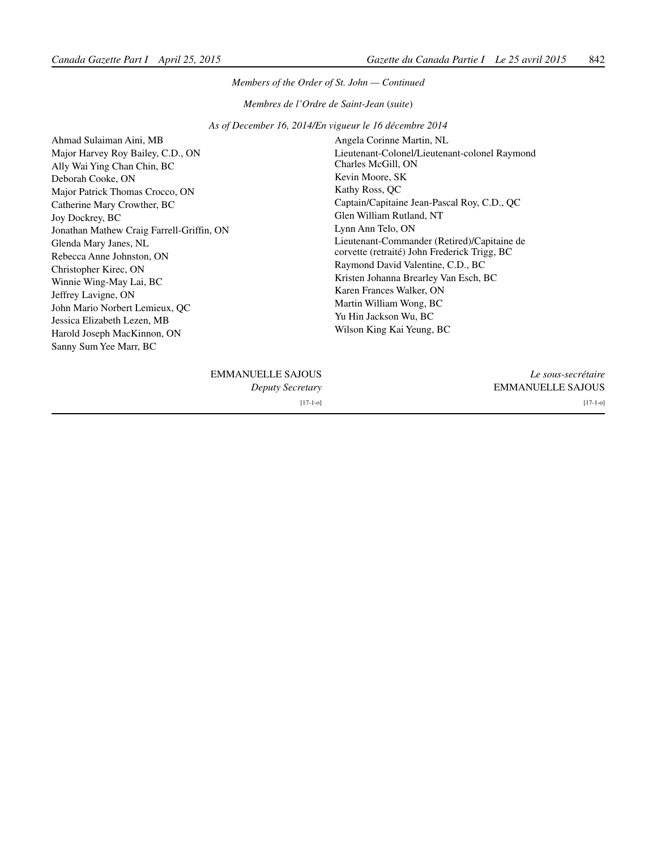#### *Members of the Order of St. John — Continued*

*Membres de l'Ordre de Saint-Jean* (*suite*)

*As of December 16, 2014/En vigueur le 16 décembre 2014*

Ahmad Sulaiman Aini, MB Major Harvey Roy Bailey, C.D., ON Ally Wai Ying Chan Chin, BC Deborah Cooke, ON Major Patrick Thomas Crocco, ON Catherine Mary Crowther, BC Joy Dockrey, BC Jonathan Mathew Craig Farrell-Griffin, ON Glenda Mary Janes, NL Rebecca Anne Johnston, ON Christopher Kirec, ON Winnie Wing-May Lai, BC Jeffrey Lavigne, ON John Mario Norbert Lemieux, QC Jessica Elizabeth Lezen, MB Harold Joseph MacKinnon, ON Sanny Sum Yee Marr, BC

Angela Corinne Martin, NL Lieutenant-Colonel/Lieutenant-colonel Raymond Charles McGill, ON Kevin Moore, SK Kathy Ross, QC Captain/Capitaine Jean-Pascal Roy, C.D., QC Glen William Rutland, NT Lynn Ann Telo, ON Lieutenant-Commander (Retired)/Capitaine de corvette (retraité) John Frederick Trigg, BC Raymond David Valentine, C.D., BC Kristen Johanna Brearley Van Esch, BC Karen Frances Walker, ON Martin William Wong, BC Yu Hin Jackson Wu, BC Wilson King Kai Yeung, BC

| Le sous-secrétaire       | <b>EMMANUELLE SAJOUS</b> |
|--------------------------|--------------------------|
| <b>EMMANUELLE SAJOUS</b> | Deputy Secretary         |
| $[17-1-0]$               | $[17-1-0]$               |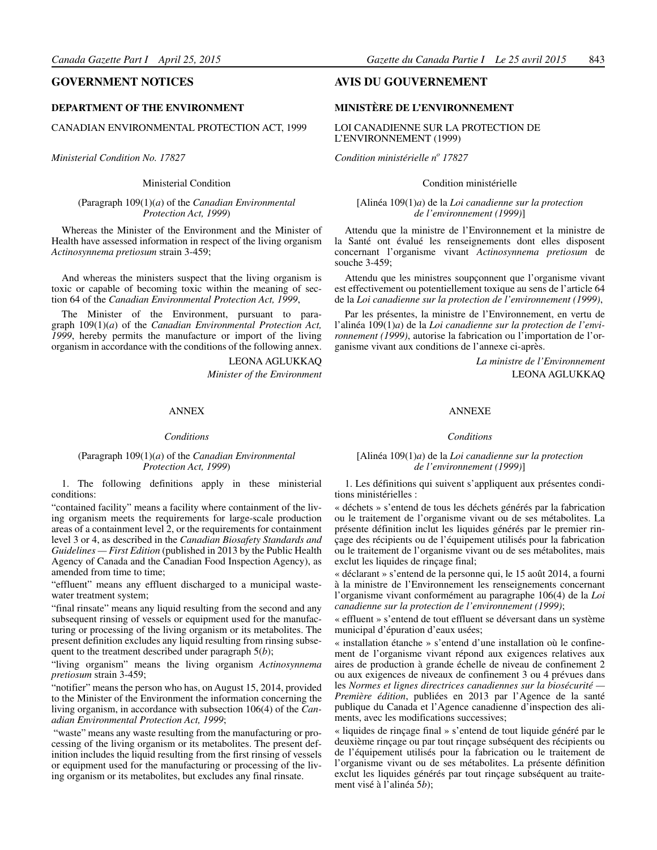#### <span id="page-5-0"></span>**GOVERNMENT NOTICES**

#### **DEPARTMENT OF THE ENVIRONMENT**

CANADIAN ENVIRONMENTAL PROTECTION ACT, 1999

*Ministerial Condition No. 17827*

Ministerial Condition

(Paragraph 109(1)(*a*) of the *Canadian Environmental Protection Act, 1999*)

Whereas the Minister of the Environment and the Minister of Health have assessed information in respect of the living organism *Actinosynnema pretiosum* strain 3-459;

And whereas the ministers suspect that the living organism is toxic or capable of becoming toxic within the meaning of section 64 of the *Canadian Environmental Protection Act, 1999*,

The Minister of the Environment, pursuant to paragraph 109(1)(*a*) of the *Canadian Environmental Protection Act, 1999*, hereby permits the manufacture or import of the living organism in accordance with the conditions of the following annex.

> LEONA AGLUKKAQ *Minister of the Environment*

#### ANNEX

#### *Conditions*

#### (Paragraph 109(1)(*a*) of the *Canadian Environmental Protection Act, 1999*)

1. The following definitions apply in these ministerial conditions:

"contained facility" means a facility where containment of the living organism meets the requirements for large-scale production areas of a containment level 2, or the requirements for containment level 3 or 4, as described in the *Canadian Biosafety Standards and Guidelines — First Edition* (published in 2013 by the Public Health Agency of Canada and the Canadian Food Inspection Agency), as amended from time to time;

"effluent" means any effluent discharged to a municipal wastewater treatment system;

"final rinsate" means any liquid resulting from the second and any subsequent rinsing of vessels or equipment used for the manufacturing or processing of the living organism or its metabolites. The present definition excludes any liquid resulting from rinsing subsequent to the treatment described under paragraph 5(*b*);

"living organism" means the living organism *Actinosynnema pretiosum* strain 3-459;

"notifier" means the person who has, on August 15, 2014, provided to the Minister of the Environment the information concerning the living organism, in accordance with subsection 106(4) of the *Canadian Environmental Protection Act, 1999*;

 "waste" means any waste resulting from the manufacturing or processing of the living organism or its metabolites. The present definition includes the liquid resulting from the first rinsing of vessels or equipment used for the manufacturing or processing of the living organism or its metabolites, but excludes any final rinsate.

#### **AVIS DU GOUVERNEMENT**

#### **MINISTÈRE DE L'ENVIRONNEMENT**

#### LOI CANADIENNE SUR LA PROTECTION DE L'ENVIRONNEMENT (1999)

*Condition ministérielle no 17827*

#### Condition ministérielle

[Alinéa 109(1)*a*) de la *Loi canadienne sur la protection de l'environnement (1999)*]

Attendu que la ministre de l'Environnement et la ministre de la Santé ont évalué les renseignements dont elles disposent concernant l'organisme vivant *Actinosynnema pretiosum* de souche 3-459;

Attendu que les ministres soupçonnent que l'organisme vivant est effectivement ou potentiellement toxique au sens de l'article 64 de la *Loi canadienne sur la protection de l'environnement (1999)*,

Par les présentes, la ministre de l'Environnement, en vertu de l'alinéa 109(1)*a*) de la *Loi canadienne sur la protection de l'environnement (1999)*, autorise la fabrication ou l'importation de l'organisme vivant aux conditions de l'annexe ci-après.

> *La ministre de l'Environnement*  LEONA AGLUKKAQ

#### ANNEXE

#### *Conditions*

#### [Alinéa 109(1)*a*) de la *Loi canadienne sur la protection de l'environnement (1999)*]

1. Les définitions qui suivent s'appliquent aux présentes conditions ministérielles :

« déchets » s'entend de tous les déchets générés par la fabrication ou le traitement de l'organisme vivant ou de ses métabolites. La présente définition inclut les liquides générés par le premier rinçage des récipients ou de l'équipement utilisés pour la fabrication ou le traitement de l'organisme vivant ou de ses métabolites, mais exclut les liquides de rinçage final;

« déclarant » s'entend de la personne qui, le 15 août 2014, a fourni à la ministre de l'Environnement les renseignements concernant l'organisme vivant conformément au paragraphe 106(4) de la *Loi canadienne sur la protection de l'environnement (1999)*;

« effluent » s'entend de tout effluent se déversant dans un système municipal d'épuration d'eaux usées;

« installation étanche » s'entend d'une installation où le confinement de l'organisme vivant répond aux exigences relatives aux aires de production à grande échelle de niveau de confinement 2 ou aux exigences de niveaux de confinement 3 ou 4 prévues dans les *Normes et lignes directrices canadiennes sur la biosécurité — Première édition*, publiées en 2013 par l'Agence de la santé publique du Canada et l'Agence canadienne d'inspection des aliments, avec les modifications successives;

« liquides de rinçage final » s'entend de tout liquide généré par le deuxième rinçage ou par tout rinçage subséquent des récipients ou de l'équipement utilisés pour la fabrication ou le traitement de l'organisme vivant ou de ses métabolites. La présente définition exclut les liquides générés par tout rinçage subséquent au traitement visé à l'alinéa 5*b*);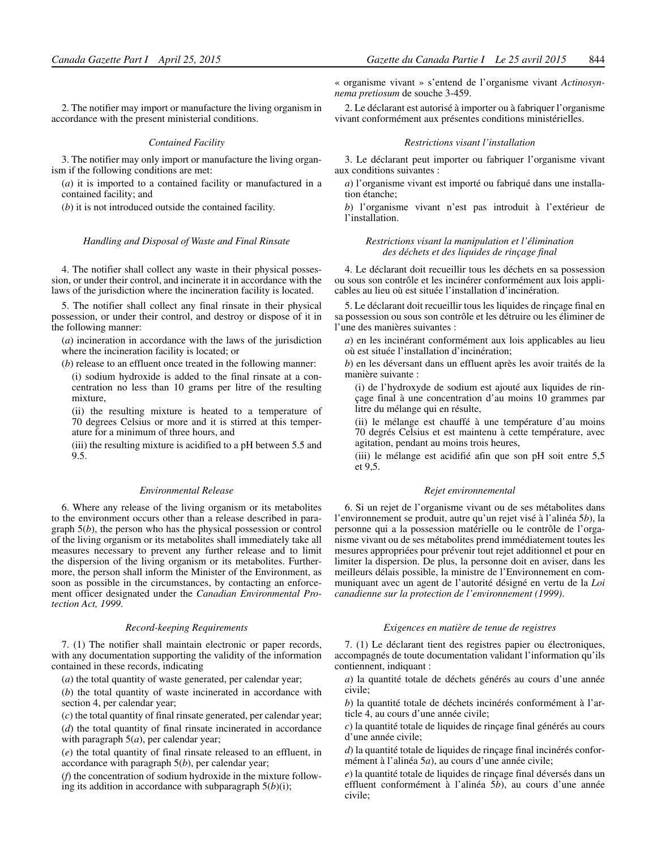2. The notifier may import or manufacture the living organism in accordance with the present ministerial conditions.

#### *Contained Facility*

3. The notifier may only import or manufacture the living organism if the following conditions are met:

(*a*) it is imported to a contained facility or manufactured in a contained facility; and

(*b*) it is not introduced outside the contained facility.

#### *Handling and Disposal of Waste and Final Rinsate*

4. The notifier shall collect any waste in their physical possession, or under their control, and incinerate it in accordance with the laws of the jurisdiction where the incineration facility is located.

5. The notifier shall collect any final rinsate in their physical possession, or under their control, and destroy or dispose of it in the following manner:

(*a*) incineration in accordance with the laws of the jurisdiction where the incineration facility is located; or

(*b*) release to an effluent once treated in the following manner:

(i) sodium hydroxide is added to the final rinsate at a concentration no less than 10 grams per litre of the resulting mixture,

(ii) the resulting mixture is heated to a temperature of 70 degrees Celsius or more and it is stirred at this temperature for a minimum of three hours, and

(iii) the resulting mixture is acidified to a pH between 5.5 and 9.5.

#### *Environmental Release*

6. Where any release of the living organism or its metabolites to the environment occurs other than a release described in paragraph 5(*b*), the person who has the physical possession or control of the living organism or its metabolites shall immediately take all measures necessary to prevent any further release and to limit the dispersion of the living organism or its metabolites. Furthermore, the person shall inform the Minister of the Environment, as soon as possible in the circumstances, by contacting an enforcement officer designated under the *Canadian Environmental Protection Act, 1999*.

#### *Record-keeping Requirements*

7. (1) The notifier shall maintain electronic or paper records, with any documentation supporting the validity of the information contained in these records, indicating

(*a*) the total quantity of waste generated, per calendar year;

(*b*) the total quantity of waste incinerated in accordance with section 4, per calendar year;

(*c*) the total quantity of final rinsate generated, per calendar year;

(*d*) the total quantity of final rinsate incinerated in accordance with paragraph 5(*a*), per calendar year;

(*e*) the total quantity of final rinsate released to an effluent, in accordance with paragraph 5(*b*), per calendar year;

(*f*) the concentration of sodium hydroxide in the mixture following its addition in accordance with subparagraph  $5(b)(i)$ ;

« organisme vivant » s'entend de l'organisme vivant *Actinosynnema pretiosum* de souche 3-459.

2. Le déclarant est autorisé à importer ou à fabriquer l'organisme vivant conformément aux présentes conditions ministérielles.

#### *Restrictions visant l'installation*

3. Le déclarant peut importer ou fabriquer l'organisme vivant aux conditions suivantes :

*a*) l'organisme vivant est importé ou fabriqué dans une installation étanche;

*b*) l'organisme vivant n'est pas introduit à l'extérieur de l'installation.

#### *Restrictions visant la manipulation et l'élimination des déchets et des liquides de rinçage final*

4. Le déclarant doit recueillir tous les déchets en sa possession ou sous son contrôle et les incinérer conformément aux lois applicables au lieu où est située l'installation d'incinération.

5. Le déclarant doit recueillir tous les liquides de rinçage final en sa possession ou sous son contrôle et les détruire ou les éliminer de l'une des manières suivantes :

*a*) en les incinérant conformément aux lois applicables au lieu où est située l'installation d'incinération;

*b*) en les déversant dans un effluent après les avoir traités de la manière suivante :

(i) de l'hydroxyde de sodium est ajouté aux liquides de rinçage final à une concentration d'au moins 10 grammes par litre du mélange qui en résulte,

(ii) le mélange est chauffé à une température d'au moins 70 degrés Celsius et est maintenu à cette température, avec agitation, pendant au moins trois heures,

(iii) le mélange est acidifié afin que son pH soit entre 5,5 et 9,5.

#### *Rejet environnemental*

6. Si un rejet de l'organisme vivant ou de ses métabolites dans l'environnement se produit, autre qu'un rejet visé à l'alinéa 5*b*), la personne qui a la possession matérielle ou le contrôle de l'organisme vivant ou de ses métabolites prend immédiatement toutes les mesures appropriées pour prévenir tout rejet additionnel et pour en limiter la dispersion. De plus, la personne doit en aviser, dans les meilleurs délais possible, la ministre de l'Environnement en communiquant avec un agent de l'autorité désigné en vertu de la *Loi canadienne sur la protection de l'environnement (1999)*.

#### *Exigences en matière de tenue de registres*

7. (1) Le déclarant tient des registres papier ou électroniques, accompagnés de toute documentation validant l'information qu'ils contiennent, indiquant :

*a*) la quantité totale de déchets générés au cours d'une année civile;

*b*) la quantité totale de déchets incinérés conformément à l'article 4, au cours d'une année civile;

*c*) la quantité totale de liquides de rinçage final générés au cours d'une année civile;

*d*) la quantité totale de liquides de rinçage final incinérés conformément à l'alinéa 5*a*), au cours d'une année civile;

*e*) la quantité totale de liquides de rinçage final déversés dans un effluent conformément à l'alinéa 5*b*), au cours d'une année civile;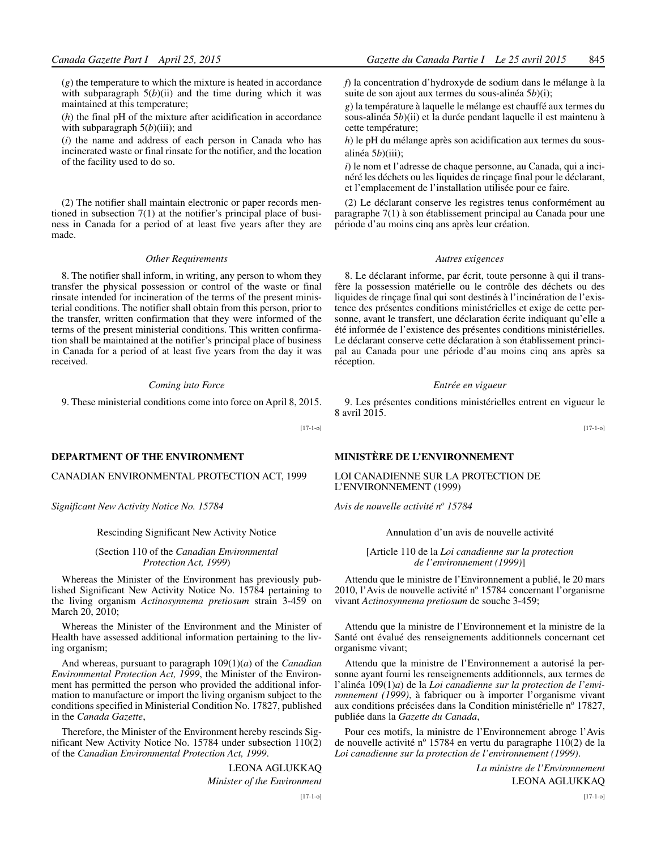(*g*) the temperature to which the mixture is heated in accordance with subparagraph  $5(b)(ii)$  and the time during which it was maintained at this temperature;

(*h*) the final pH of the mixture after acidification in accordance with subparagraph  $5(b)$ (iii); and

(*i*) the name and address of each person in Canada who has incinerated waste or final rinsate for the notifier, and the location of the facility used to do so.

(2) The notifier shall maintain electronic or paper records mentioned in subsection 7(1) at the notifier's principal place of business in Canada for a period of at least five years after they are made.

#### *Other Requirements*

8. The notifier shall inform, in writing, any person to whom they transfer the physical possession or control of the waste or final rinsate intended for incineration of the terms of the present ministerial conditions. The notifier shall obtain from this person, prior to the transfer, written confirmation that they were informed of the terms of the present ministerial conditions. This written confirmation shall be maintained at the notifier's principal place of business in Canada for a period of at least five years from the day it was received.

#### *Coming into Force*

9. These ministerial conditions come into force on April 8, 2015.

[17-1-o]

#### **DEPARTMENT OF THE ENVIRONMENT**

#### CANADIAN ENVIRONMENTAL PROTECTION ACT, 1999

*Significant New Activity Notice No. 15784*

Rescinding Significant New Activity Notice

(Section 110 of the *Canadian Environmental Protection Act, 1999*)

Whereas the Minister of the Environment has previously published Significant New Activity Notice No. 15784 pertaining to the living organism *Actinosynnema pretiosum* strain 3-459 on March 20, 2010;

Whereas the Minister of the Environment and the Minister of Health have assessed additional information pertaining to the living organism;

And whereas, pursuant to paragraph 109(1)(*a*) of the *Canadian Environmental Protection Act, 1999*, the Minister of the Environment has permitted the person who provided the additional information to manufacture or import the living organism subject to the conditions specified in Ministerial Condition No. 17827, published in the *Canada Gazette*,

Therefore, the Minister of the Environment hereby rescinds Significant New Activity Notice No. 15784 under subsection 110(2) of the *Canadian Environmental Protection Act, 1999*.

> LEONA AGLUKKAQ *Minister of the Environment* [17-1-o]

*f*) la concentration d'hydroxyde de sodium dans le mélange à la suite de son ajout aux termes du sous-alinéa 5*b*)(i);

*g*) la température à laquelle le mélange est chauffé aux termes du sous-alinéa 5*b*)(ii) et la durée pendant laquelle il est maintenu à cette température;

*h*) le pH du mélange après son acidification aux termes du sousalinéa 5*b*)(iii);

*i*) le nom et l'adresse de chaque personne, au Canada, qui a incinéré les déchets ou les liquides de rinçage final pour le déclarant, et l'emplacement de l'installation utilisée pour ce faire.

(2) Le déclarant conserve les registres tenus conformément au paragraphe 7(1) à son établissement principal au Canada pour une période d'au moins cinq ans après leur création.

#### *Autres exigences*

8. Le déclarant informe, par écrit, toute personne à qui il transfère la possession matérielle ou le contrôle des déchets ou des liquides de rinçage final qui sont destinés à l'incinération de l'existence des présentes conditions ministérielles et exige de cette personne, avant le transfert, une déclaration écrite indiquant qu'elle a été informée de l'existence des présentes conditions ministérielles. Le déclarant conserve cette déclaration à son établissement principal au Canada pour une période d'au moins cinq ans après sa réception.

#### *Entrée en vigueur*

9. Les présentes conditions ministérielles entrent en vigueur le 8 avril 2015.

[17-1-o]

#### **MINISTÈRE DE L'ENVIRONNEMENT**

LOI CANADIENNE SUR LA PROTECTION DE L'ENVIRONNEMENT (1999)

*Avis de nouvelle activité no 15784*

Annulation d'un avis de nouvelle activité

#### [Article 110 de la *Loi canadienne sur la protection de l'environnement (1999)*]

Attendu que le ministre de l'Environnement a publié, le 20 mars 2010, l'Avis de nouvelle activité nº 15784 concernant l'organisme vivant *Actinosynnema pretiosum* de souche 3-459;

Attendu que la ministre de l'Environnement et la ministre de la Santé ont évalué des renseignements additionnels concernant cet organisme vivant;

Attendu que la ministre de l'Environnement a autorisé la personne ayant fourni les renseignements additionnels, aux termes de l'alinéa 109(1)*a*) de la *Loi canadienne sur la protection de l'environnement (1999)*, à fabriquer ou à importer l'organisme vivant aux conditions précisées dans la Condition ministérielle n° 17827, publiée dans la *Gazette du Canada*,

Pour ces motifs, la ministre de l'Environnement abroge l'Avis de nouvelle activité nº 15784 en vertu du paragraphe  $110(2)$  de la *Loi canadienne sur la protection de l'environnement (1999)*.

> *La ministre de l'Environnement* LEONA AGLUKKAQ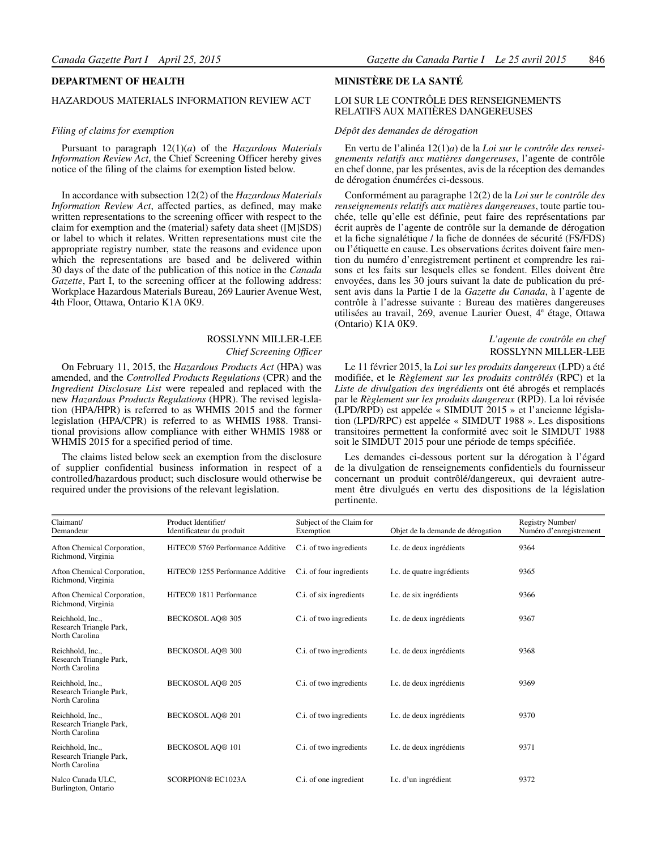#### **DEPARTMENT OF HEALTH**

### HAZARDOUS MATERIALS INFORMATION REVIEW ACT

#### *Filing of claims for exemption*

Pursuant to paragraph 12(1)(*a*) of the *Hazardous Materials Information Review Act*, the Chief Screening Officer hereby gives notice of the filing of the claims for exemption listed below.

In accordance with subsection 12(2) of the *Hazardous Materials Information Review Act*, affected parties, as defined, may make written representations to the screening officer with respect to the claim for exemption and the (material) safety data sheet ([M]SDS) or label to which it relates. Written representations must cite the appropriate registry number, state the reasons and evidence upon which the representations are based and be delivered within 30 days of the date of the publication of this notice in the *Canada Gazette*, Part I, to the screening officer at the following address: Workplace Hazardous Materials Bureau, 269 Laurier Avenue West, 4th Floor, Ottawa, Ontario K1A 0K9.

#### ROSSLYNN MILLER-LEE

#### *Chief Screening Officer*

On February 11, 2015, the *Hazardous Products Act* (HPA) was amended, and the *Controlled Products Regulations* (CPR) and the *Ingredient Disclosure List* were repealed and replaced with the new *Hazardous Products Regulations* (HPR). The revised legislation (HPA/HPR) is referred to as WHMIS 2015 and the former legislation (HPA/CPR) is referred to as WHMIS 1988. Transitional provisions allow compliance with either WHMIS 1988 or WHMIS 2015 for a specified period of time.

The claims listed below seek an exemption from the disclosure of supplier confidential business information in respect of a controlled/hazardous product; such disclosure would otherwise be required under the provisions of the relevant legislation.

#### **MINISTÈRE DE LA SANTÉ**

#### LOI SUR LE CONTRÔLE DES RENSEIGNEMENTS RELATIFS AUX MATIÈRES DANGEREUSES

#### *Dépôt des demandes de dérogation*

En vertu de l'alinéa 12(1)*a*) de la *Loi sur le contrôle des renseignements relatifs aux matières dangereuses*, l'agente de contrôle en chef donne, par les présentes, avis de la réception des demandes de dérogation énumérées ci-dessous.

Conformément au paragraphe 12(2) de la *Loi sur le contrôle des renseignements relatifs aux matières dangereuses*, toute partie touchée, telle qu'elle est définie, peut faire des représentations par écrit auprès de l'agente de contrôle sur la demande de dérogation et la fiche signalétique / la fiche de données de sécurité (FS/FDS) ou l'étiquette en cause. Les observations écrites doivent faire mention du numéro d'enregistrement pertinent et comprendre les raisons et les faits sur lesquels elles se fondent. Elles doivent être envoyées, dans les 30 jours suivant la date de publication du présent avis dans la Partie I de la *Gazette du Canada*, à l'agente de contrôle à l'adresse suivante : Bureau des matières dangereuses utilisées au travail, 269, avenue Laurier Ouest, 4<sup>e</sup> étage, Ottawa (Ontario) K1A 0K9.

#### *L'agente de contrôle en chef* ROSSLYNN MILLER-LEE

Le 11 février 2015, la *Loi sur les produits dangereux* (LPD) a été modifiée, et le *Règlement sur les produits contrôlés* (RPC) et la *Liste de divulgation des ingrédients* ont été abrogés et remplacés par le *Règlement sur les produits dangereux* (RPD). La loi révisée (LPD/RPD) est appelée « SIMDUT 2015 » et l'ancienne législation (LPD/RPC) est appelée « SIMDUT 1988 ». Les dispositions transitoires permettent la conformité avec soit le SIMDUT 1988 soit le SIMDUT 2015 pour une période de temps spécifiée.

Les demandes ci-dessous portent sur la dérogation à l'égard de la divulgation de renseignements confidentiels du fournisseur concernant un produit contrôlé/dangereux, qui devraient autrement être divulgués en vertu des dispositions de la législation pertinente.

| Claimant/<br>Demandeur                                        | Product Identifier/<br>Identificateur du produit | Subject of the Claim for<br>Exemption | Objet de la demande de dérogation | Registry Number/<br>Numéro d'enregistrement |
|---------------------------------------------------------------|--------------------------------------------------|---------------------------------------|-----------------------------------|---------------------------------------------|
| Afton Chemical Corporation,<br>Richmond, Virginia             | HiTEC <sup>®</sup> 5769 Performance Additive     | C.i. of two ingredients               | I.c. de deux ingrédients          | 9364                                        |
| Afton Chemical Corporation,<br>Richmond, Virginia             | HiTEC <sup>®</sup> 1255 Performance Additive     | C.i. of four ingredients              | I.c. de quatre ingrédients        | 9365                                        |
| Afton Chemical Corporation,<br>Richmond, Virginia             | HiTEC <sup>®</sup> 1811 Performance              | C.i. of six ingredients               | I.c. de six ingrédients           | 9366                                        |
| Reichhold, Inc.,<br>Research Triangle Park,<br>North Carolina | <b>BECKOSOL AO® 305</b>                          | C.i. of two ingredients               | I.c. de deux ingrédients          | 9367                                        |
| Reichhold, Inc.,<br>Research Triangle Park,<br>North Carolina | <b>BECKOSOL AO® 300</b>                          | C.i. of two ingredients               | I.c. de deux ingrédients          | 9368                                        |
| Reichhold, Inc.,<br>Research Triangle Park,<br>North Carolina | <b>BECKOSOL AO® 205</b>                          | C.i. of two ingredients               | I.c. de deux ingrédients          | 9369                                        |
| Reichhold, Inc.,<br>Research Triangle Park,<br>North Carolina | <b>BECKOSOL AO® 201</b>                          | C.i. of two ingredients               | I.c. de deux ingrédients          | 9370                                        |
| Reichhold, Inc.,<br>Research Triangle Park,<br>North Carolina | <b>BECKOSOL AO® 101</b>                          | C.i. of two ingredients               | I.c. de deux ingrédients          | 9371                                        |
| Nalco Canada ULC.<br>Burlington, Ontario                      | <b>SCORPION® EC1023A</b>                         | C.i. of one ingredient                | I.c. d'un ingrédient              | 9372                                        |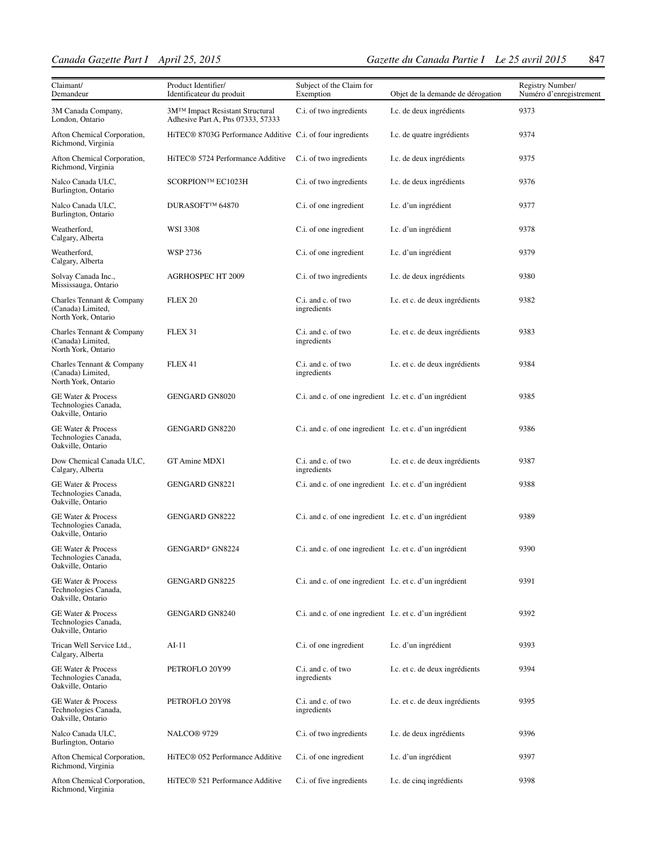| Claimant/<br>Demandeur                                                     | Product Identifier/<br>Identificateur du produit                     | Subject of the Claim for<br>Exemption                    | Objet de la demande de dérogation | Registry Number/<br>Numéro d'enregistrement |
|----------------------------------------------------------------------------|----------------------------------------------------------------------|----------------------------------------------------------|-----------------------------------|---------------------------------------------|
| 3M Canada Company,<br>London, Ontario                                      | 3M™ Impact Resistant Structural<br>Adhesive Part A, Pns 07333, 57333 | C.i. of two ingredients                                  | I.c. de deux ingrédients          | 9373                                        |
| Afton Chemical Corporation,<br>Richmond, Virginia                          | HiTEC® 8703G Performance Additive C.i. of four ingredients           |                                                          | I.c. de quatre ingrédients        | 9374                                        |
| Afton Chemical Corporation,<br>Richmond, Virginia                          | HiTEC <sup>®</sup> 5724 Performance Additive                         | C.i. of two ingredients                                  | I.c. de deux ingrédients          | 9375                                        |
| Nalco Canada ULC,<br>Burlington, Ontario                                   | SCORPION™ EC1023H                                                    | C.i. of two ingredients                                  | I.c. de deux ingrédients          | 9376                                        |
| Nalco Canada ULC,<br>Burlington, Ontario                                   | DURASOFT™ 64870                                                      | C.i. of one ingredient                                   | I.c. d'un ingrédient              | 9377                                        |
| Weatherford,<br>Calgary, Alberta                                           | <b>WSI 3308</b>                                                      | C.i. of one ingredient                                   | I.c. d'un ingrédient              | 9378                                        |
| Weatherford,<br>Calgary, Alberta                                           | WSP 2736                                                             | C.i. of one ingredient                                   | I.c. d'un ingrédient              | 9379                                        |
| Solvay Canada Inc.,<br>Mississauga, Ontario                                | <b>AGRHOSPEC HT 2009</b>                                             | C.i. of two ingredients                                  | I.c. de deux ingrédients          | 9380                                        |
| Charles Tennant & Company<br>(Canada) Limited,<br>North York, Ontario      | FLEX <sub>20</sub>                                                   | C.i. and c. of two<br>ingredients                        | I.c. et c. de deux ingrédients    | 9382                                        |
| Charles Tennant & Company<br>(Canada) Limited,<br>North York, Ontario      | FLEX 31                                                              | C.i. and c. of two<br>ingredients                        | I.c. et c. de deux ingrédients    | 9383                                        |
| Charles Tennant & Company<br>(Canada) Limited,<br>North York, Ontario      | FLEX 41                                                              | C.i. and c. of two<br>ingredients                        | I.c. et c. de deux ingrédients    | 9384                                        |
| GE Water & Process<br>Technologies Canada,<br>Oakville, Ontario            | <b>GENGARD GN8020</b>                                                | C.i. and c. of one ingredient I.c. et c. d'un ingrédient |                                   | 9385                                        |
| GE Water & Process<br>Technologies Canada,<br>Oakville, Ontario            | GENGARD GN8220                                                       | C.i. and c. of one ingredient I.c. et c. d'un ingrédient |                                   | 9386                                        |
| Dow Chemical Canada ULC,<br>Calgary, Alberta                               | GT Amine MDX1                                                        | C.i. and c. of two<br>ingredients                        | I.c. et c. de deux ingrédients    | 9387                                        |
| <b>GE Water &amp; Process</b><br>Technologies Canada,<br>Oakville, Ontario | <b>GENGARD GN8221</b>                                                | C.i. and c. of one ingredient I.c. et c. d'un ingrédient |                                   | 9388                                        |
| GE Water & Process<br>Technologies Canada,<br>Oakville, Ontario            | <b>GENGARD GN8222</b>                                                | C.i. and c. of one ingredient I.c. et c. d'un ingrédient |                                   | 9389                                        |
| <b>GE Water &amp; Process</b><br>Technologies Canada,<br>Oakville, Ontario | GENGARD* GN8224                                                      | C.i. and c. of one ingredient I.c. et c. d'un ingrédient |                                   | 9390                                        |
| GE Water & Process<br>Technologies Canada,<br>Oakville, Ontario            | <b>GENGARD GN8225</b>                                                | C.i. and c. of one ingredient I.c. et c. d'un ingrédient |                                   | 9391                                        |
| <b>GE Water &amp; Process</b><br>Technologies Canada,<br>Oakville, Ontario | <b>GENGARD GN8240</b>                                                | C.i. and c. of one ingredient I.c. et c. d'un ingrédient |                                   | 9392                                        |
| Trican Well Service Ltd.,<br>Calgary, Alberta                              | $AI-11$                                                              | C.i. of one ingredient                                   | I.c. d'un ingrédient              | 9393                                        |
| <b>GE Water &amp; Process</b><br>Technologies Canada,<br>Oakville, Ontario | PETROFLO 20Y99                                                       | C.i. and c. of two<br>ingredients                        | I.c. et c. de deux ingrédients    | 9394                                        |
| <b>GE Water &amp; Process</b><br>Technologies Canada,<br>Oakville, Ontario | PETROFLO 20Y98                                                       | C.i. and c. of two<br>ingredients                        | I.c. et c. de deux ingrédients    | 9395                                        |
| Nalco Canada ULC,<br>Burlington, Ontario                                   | NALCO <sup>®</sup> 9729                                              | C.i. of two ingredients                                  | I.c. de deux ingrédients          | 9396                                        |
| Afton Chemical Corporation,<br>Richmond, Virginia                          | HiTEC <sup>®</sup> 052 Performance Additive                          | C.i. of one ingredient                                   | I.c. d'un ingrédient              | 9397                                        |
| Afton Chemical Corporation,<br>Richmond, Virginia                          | HiTEC <sup>®</sup> 521 Performance Additive                          | C.i. of five ingredients                                 | I.c. de cinq ingrédients          | 9398                                        |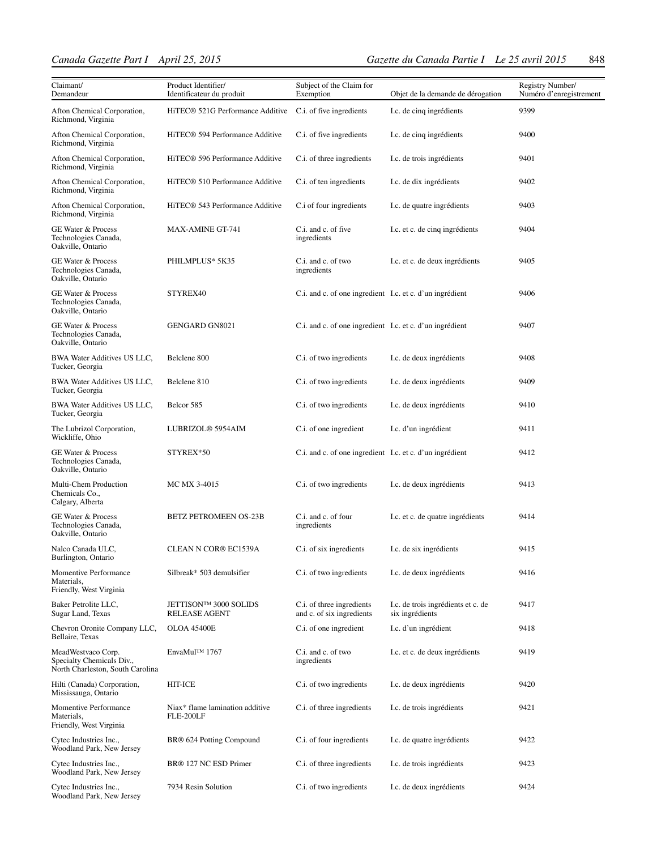| Claimant/<br>Demandeur                                                              | Product Identifier/<br>Identificateur du produit           | Subject of the Claim for<br>Exemption                    | Objet de la demande de dérogation                     | Registry Number/<br>Numéro d'enregistrement |
|-------------------------------------------------------------------------------------|------------------------------------------------------------|----------------------------------------------------------|-------------------------------------------------------|---------------------------------------------|
| Afton Chemical Corporation,<br>Richmond, Virginia                                   | HiTEC® 521G Performance Additive                           | C.i. of five ingredients                                 | I.c. de cinq ingrédients                              | 9399                                        |
| Afton Chemical Corporation,<br>Richmond, Virginia                                   | HiTEC <sup>®</sup> 594 Performance Additive                | C.i. of five ingredients                                 | I.c. de cinq ingrédients                              | 9400                                        |
| Afton Chemical Corporation,<br>Richmond, Virginia                                   | HiTEC® 596 Performance Additive                            | C.i. of three ingredients                                | I.c. de trois ingrédients                             | 9401                                        |
| Afton Chemical Corporation,<br>Richmond, Virginia                                   | HiTEC® 510 Performance Additive                            | C.i. of ten ingredients                                  | I.c. de dix ingrédients                               | 9402                                        |
| Afton Chemical Corporation,<br>Richmond, Virginia                                   | HiTEC <sup>®</sup> 543 Performance Additive                | C.i of four ingredients                                  | I.c. de quatre ingrédients                            | 9403                                        |
| GE Water & Process<br>Technologies Canada,<br>Oakville, Ontario                     | MAX-AMINE GT-741                                           | C.i. and c. of five<br>ingredients                       | I.c. et c. de cinq ingrédients                        | 9404                                        |
| <b>GE Water &amp; Process</b><br>Technologies Canada,<br>Oakville, Ontario          | PHILMPLUS* 5K35                                            | C.i. and c. of two<br>ingredients                        | I.c. et c. de deux ingrédients                        | 9405                                        |
| GE Water & Process<br>Technologies Canada,<br>Oakville, Ontario                     | STYREX40                                                   | C.i. and c. of one ingredient I.c. et c. d'un ingrédient |                                                       | 9406                                        |
| <b>GE Water &amp; Process</b><br>Technologies Canada,<br>Oakville, Ontario          | <b>GENGARD GN8021</b>                                      | C.i. and c. of one ingredient I.c. et c. d'un ingrédient |                                                       | 9407                                        |
| BWA Water Additives US LLC,<br>Tucker, Georgia                                      | Belclene 800                                               | C.i. of two ingredients                                  | I.c. de deux ingrédients                              | 9408                                        |
| BWA Water Additives US LLC,<br>Tucker, Georgia                                      | Belclene 810                                               | C.i. of two ingredients                                  | I.c. de deux ingrédients                              | 9409                                        |
| BWA Water Additives US LLC,<br>Tucker, Georgia                                      | Belcor 585                                                 | C.i. of two ingredients                                  | I.c. de deux ingrédients                              | 9410                                        |
| The Lubrizol Corporation,<br>Wickliffe, Ohio                                        | LUBRIZOL® 5954AIM                                          | C.i. of one ingredient                                   | I.c. d'un ingrédient                                  | 9411                                        |
| GE Water & Process<br>Technologies Canada,<br>Oakville, Ontario                     | STYREX*50                                                  | C.i. and c. of one ingredient I.c. et c. d'un ingrédient |                                                       | 9412                                        |
| Multi-Chem Production<br>Chemicals Co.,<br>Calgary, Alberta                         | MC MX 3-4015                                               | C.i. of two ingredients                                  | I.c. de deux ingrédients                              | 9413                                        |
| GE Water & Process<br>Technologies Canada,<br>Oakville, Ontario                     | <b>BETZ PETROMEEN OS-23B</b>                               | C.i. and c. of four<br>ingredients                       | I.c. et c. de quatre ingrédients                      | 9414                                        |
| Nalco Canada ULC,<br>Burlington, Ontario                                            | CLEAN N COR® EC1539A                                       | C.i. of six ingredients                                  | I.c. de six ingrédients                               | 9415                                        |
| Momentive Performance<br>Materials,<br>Friendly, West Virginia                      | Silbreak* 503 demulsifier                                  | C.i. of two ingredients                                  | I.c. de deux ingrédients                              | 9416                                        |
| Baker Petrolite LLC,<br>Sugar Land, Texas                                           | JETTISON <sup>TM</sup> 3000 SOLIDS<br><b>RELEASE AGENT</b> | C.i. of three ingredients<br>and c. of six ingredients   | I.c. de trois ingrédients et c. de<br>six ingrédients | 9417                                        |
| Chevron Oronite Company LLC,<br>Bellaire, Texas                                     | <b>OLOA 45400E</b>                                         | C.i. of one ingredient                                   | I.c. d'un ingrédient                                  | 9418                                        |
| MeadWestvaco Corp.<br>Specialty Chemicals Div.,<br>North Charleston, South Carolina | EnvaMul™ 1767                                              | C.i. and c. of two<br>ingredients                        | I.c. et c. de deux ingrédients                        | 9419                                        |
| Hilti (Canada) Corporation,<br>Mississauga, Ontario                                 | <b>HIT-ICE</b>                                             | C.i. of two ingredients                                  | I.c. de deux ingrédients                              | 9420                                        |
| Momentive Performance<br>Materials,<br>Friendly, West Virginia                      | Niax* flame lamination additive<br>FLE-200LF               | C.i. of three ingredients                                | I.c. de trois ingrédients                             | 9421                                        |
| Cytec Industries Inc.,<br>Woodland Park, New Jersey                                 | BR <sup>®</sup> 624 Potting Compound                       | C.i. of four ingredients                                 | I.c. de quatre ingrédients                            | 9422                                        |
| Cytec Industries Inc.,<br>Woodland Park, New Jersey                                 | BR <sup>®</sup> 127 NC ESD Primer                          | C.i. of three ingredients                                | I.c. de trois ingrédients                             | 9423                                        |
| Cytec Industries Inc.,<br>Woodland Park, New Jersey                                 | 7934 Resin Solution                                        | C.i. of two ingredients                                  | I.c. de deux ingrédients                              | 9424                                        |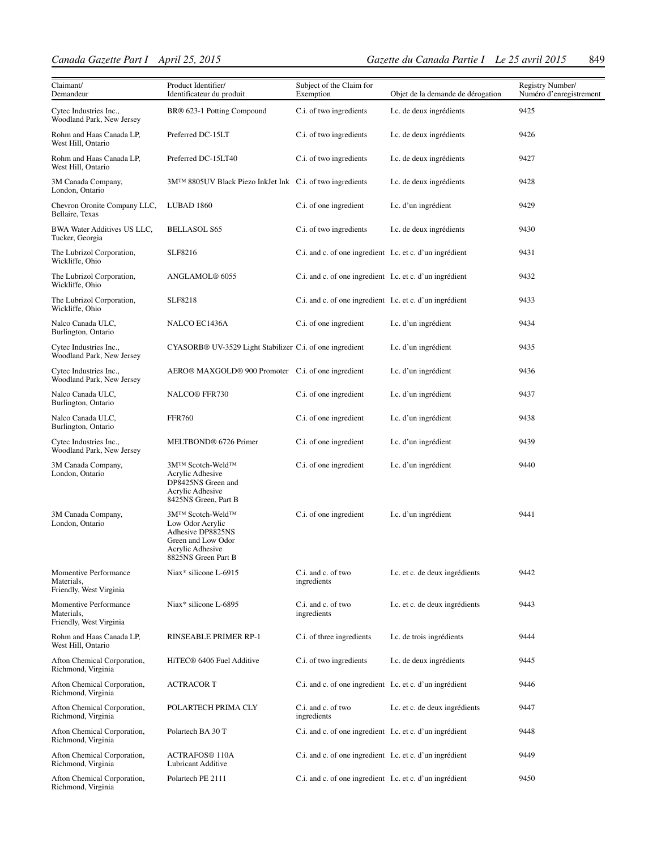| Claimant/<br>Demandeur                                         | Product Identifier/<br>Identificateur du produit                                                                           | Subject of the Claim for<br>Exemption                    | Objet de la demande de dérogation | Registry Number/<br>Numéro d'enregistrement |
|----------------------------------------------------------------|----------------------------------------------------------------------------------------------------------------------------|----------------------------------------------------------|-----------------------------------|---------------------------------------------|
| Cytec Industries Inc.,<br>Woodland Park, New Jersey            | BR® 623-1 Potting Compound                                                                                                 | C.i. of two ingredients                                  | I.c. de deux ingrédients          | 9425                                        |
| Rohm and Haas Canada LP,<br>West Hill, Ontario                 | Preferred DC-15LT                                                                                                          | C.i. of two ingredients                                  | I.c. de deux ingrédients          | 9426                                        |
| Rohm and Haas Canada LP,<br>West Hill, Ontario                 | Preferred DC-15LT40                                                                                                        | C.i. of two ingredients                                  | I.c. de deux ingrédients          | 9427                                        |
| 3M Canada Company,<br>London, Ontario                          | 3M™ 8805UV Black Piezo InkJet Ink C.i. of two ingredients                                                                  |                                                          | I.c. de deux ingrédients          | 9428                                        |
| Chevron Oronite Company LLC,<br>Bellaire, Texas                | LUBAD 1860                                                                                                                 | C.i. of one ingredient                                   | I.c. d'un ingrédient              | 9429                                        |
| BWA Water Additives US LLC,<br>Tucker, Georgia                 | <b>BELLASOL S65</b>                                                                                                        | C.i. of two ingredients                                  | I.c. de deux ingrédients          | 9430                                        |
| The Lubrizol Corporation,<br>Wickliffe, Ohio                   | SLF8216                                                                                                                    | C.i. and c. of one ingredient I.c. et c. d'un ingrédient |                                   | 9431                                        |
| The Lubrizol Corporation,<br>Wickliffe, Ohio                   | ANGLAMOL <sup>®</sup> 6055                                                                                                 | C.i. and c. of one ingredient I.c. et c. d'un ingrédient |                                   | 9432                                        |
| The Lubrizol Corporation,<br>Wickliffe, Ohio                   | SLF8218                                                                                                                    | C.i. and c. of one ingredient I.c. et c. d'un ingrédient |                                   | 9433                                        |
| Nalco Canada ULC,<br>Burlington, Ontario                       | NALCO EC1436A                                                                                                              | C.i. of one ingredient                                   | I.c. d'un ingrédient              | 9434                                        |
| Cytec Industries Inc.,<br>Woodland Park, New Jersey            | CYASORB <sup>®</sup> UV-3529 Light Stabilizer C.i. of one ingredient                                                       |                                                          | I.c. d'un ingrédient              | 9435                                        |
| Cytec Industries Inc.,<br>Woodland Park, New Jersey            | AERO® MAXGOLD® 900 Promoter C.i. of one ingredient                                                                         |                                                          | I.c. d'un ingrédient              | 9436                                        |
| Nalco Canada ULC,<br>Burlington, Ontario                       | NALCO® FFR730                                                                                                              | C.i. of one ingredient                                   | I.c. d'un ingrédient              | 9437                                        |
| Nalco Canada ULC,<br>Burlington, Ontario                       | <b>FFR760</b>                                                                                                              | C.i. of one ingredient                                   | I.c. d'un ingrédient              | 9438                                        |
| Cytec Industries Inc.,<br>Woodland Park, New Jersey            | MELTBOND <sup>®</sup> 6726 Primer                                                                                          | C.i. of one ingredient                                   | I.c. d'un ingrédient              | 9439                                        |
| 3M Canada Company,<br>London, Ontario                          | 3M™ Scotch-Weld™<br>Acrylic Adhesive<br>DP8425NS Green and<br>Acrylic Adhesive<br>8425NS Green, Part B                     | C.i. of one ingredient                                   | I.c. d'un ingrédient              | 9440                                        |
| 3M Canada Company,<br>London, Ontario                          | 3M™ Scotch-Weld™<br>Low Odor Acrylic<br>Adhesive DP8825NS<br>Green and Low Odor<br>Acrylic Adhesive<br>8825NS Green Part B | C.i. of one ingredient                                   | I.c. d'un ingrédient              | 9441                                        |
| Momentive Performance<br>Materials,<br>Friendly, West Virginia | Niax* silicone L-6915                                                                                                      | C.i. and c. of two<br>ingredients                        | I.c. et c. de deux ingrédients    | 9442                                        |
| Momentive Performance<br>Materials,<br>Friendly, West Virginia | Niax* silicone L-6895                                                                                                      | C.i. and c. of two<br>ingredients                        | I.c. et c. de deux ingrédients    | 9443                                        |
| Rohm and Haas Canada LP,<br>West Hill, Ontario                 | RINSEABLE PRIMER RP-1                                                                                                      | C.i. of three ingredients                                | I.c. de trois ingrédients         | 9444                                        |
| Afton Chemical Corporation,<br>Richmond, Virginia              | HiTEC® 6406 Fuel Additive                                                                                                  | C.i. of two ingredients                                  | I.c. de deux ingrédients          | 9445                                        |
| Afton Chemical Corporation,<br>Richmond, Virginia              | <b>ACTRACORT</b>                                                                                                           | C.i. and c. of one ingredient I.c. et c. d'un ingrédient |                                   | 9446                                        |
| Afton Chemical Corporation,<br>Richmond, Virginia              | POLARTECH PRIMA CLY                                                                                                        | C.i. and c. of two<br>ingredients                        | I.c. et c. de deux ingrédients    | 9447                                        |
| Afton Chemical Corporation,<br>Richmond, Virginia              | Polartech BA 30 T                                                                                                          | C.i. and c. of one ingredient I.c. et c. d'un ingrédient |                                   | 9448                                        |
| Afton Chemical Corporation,<br>Richmond, Virginia              | <b>ACTRAFOS® 110A</b><br><b>Lubricant Additive</b>                                                                         | C.i. and c. of one ingredient I.c. et c. d'un ingrédient |                                   | 9449                                        |
| Afton Chemical Corporation,<br>Richmond, Virginia              | Polartech PE 2111                                                                                                          | C.i. and c. of one ingredient I.c. et c. d'un ingrédient |                                   | 9450                                        |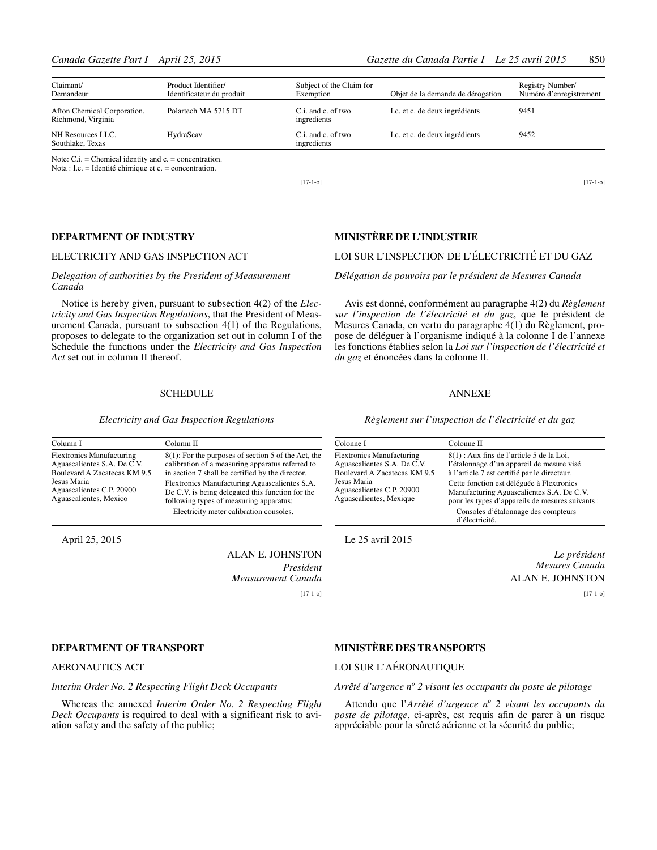| Claimant/<br>Demandeur                            | Product Identifier/<br>Identificateur du produit | Subject of the Claim for<br>Exemption | Objet de la demande de dérogation | Registry Number/<br>Numéro d'enregistrement |
|---------------------------------------------------|--------------------------------------------------|---------------------------------------|-----------------------------------|---------------------------------------------|
| Afton Chemical Corporation,<br>Richmond, Virginia | Polartech MA 5715 DT                             | C.i. and c. of two<br>ingredients     | I.c. et c. de deux ingrédients    | 9451                                        |
| NH Resources LLC,<br>Southlake, Texas             | HydraScav                                        | C.i. and c. of two<br>ingredients     | I.c. et c. de deux ingrédients    | 9452                                        |

Nota : I.c. = Identité chimique et c. = concentration.

[17-1-o]

#### **DEPARTMENT OF INDUSTRY**

#### ELECTRICITY AND GAS INSPECTION ACT

#### *Delegation of authorities by the President of Measurement Canada*

Notice is hereby given, pursuant to subsection 4(2) of the *Electricity and Gas Inspection Regulations*, that the President of Measurement Canada, pursuant to subsection 4(1) of the Regulations, proposes to delegate to the organization set out in column I of the Schedule the functions under the *Electricity and Gas Inspection Act* set out in column II thereof.

#### **SCHEDULE**

*Electricity and Gas Inspection Regulations*

| Column I                                                                                        | Column II                                                                                                                                                      |
|-------------------------------------------------------------------------------------------------|----------------------------------------------------------------------------------------------------------------------------------------------------------------|
| <b>Flextronics Manufacturing</b><br>Aguascalientes S.A. De C.V.<br>Boulevard A Zacatecas KM 9.5 | $8(1)$ : For the purposes of section 5 of the Act, the<br>calibration of a measuring apparatus referred to<br>in section 7 shall be certified by the director. |
| Jesus Maria<br>Aguascalientes C.P. 20900<br>Aguascalientes, Mexico                              | Flextronics Manufacturing Aguascalientes S.A.<br>De C.V. is being delegated this function for the<br>following types of measuring apparatus:                   |
|                                                                                                 | Electricity meter calibration consoles.                                                                                                                        |

April 25, 2015

ALAN E. JOHNSTON *President Measurement Canada* [17-1-o]

#### **DEPARTMENT OF TRANSPORT**

#### AERONAUTICS ACT

#### *Interim Order No. 2 Respecting Flight Deck Occupants*

Whereas the annexed *Interim Order No. 2 Respecting Flight Deck Occupants* is required to deal with a significant risk to aviation safety and the safety of the public;

#### **MINISTÈRE DE L'INDUSTRIE**

#### LOI SUR L'INSPECTION DE L'ÉLECTRICITÉ ET DU GAZ

#### *Délégation de pouvoirs par le président de Mesures Canada*

Avis est donné, conformément au paragraphe 4(2) du *Règlement sur l'inspection de l'électricité et du gaz*, que le président de Mesures Canada, en vertu du paragraphe 4(1) du Règlement, propose de déléguer à l'organisme indiqué à la colonne I de l'annexe les fonctions établies selon la *Loi sur l'inspection de l'électricité et du gaz* et énoncées dans la colonne II.

#### ANNEXE

*Règlement sur l'inspection de l'électricité et du gaz*

| Colonne I                                                                                       | Colonne II                                                                                                                                 |
|-------------------------------------------------------------------------------------------------|--------------------------------------------------------------------------------------------------------------------------------------------|
| <b>Flextronics Manufacturing</b><br>Aguascalientes S.A. De C.V.<br>Boulevard A Zacatecas KM 9.5 | 8(1): Aux fins de l'article 5 de la Loi,<br>l'étalonnage d'un appareil de mesure visé<br>à l'article 7 est certifié par le directeur.      |
| Jesus Maria<br>Aguascalientes C.P. 20900<br>Aguascalientes, Mexique                             | Cette fonction est déléguée à Flextronics<br>Manufacturing Aguascalientes S.A. De C.V.<br>pour les types d'appareils de mesures suivants : |
|                                                                                                 | Consoles d'étalonnage des compteurs<br>d'électricité.                                                                                      |

Le 25 avril 2015

*Le président Mesures Canada* ALAN E. JOHNSTON

[17-1-o]

[17-1-o]

#### **MINISTÈRE DES TRANSPORTS**

#### LOI SUR L'AÉRONAUTIQUE

#### *Arrêté d'urgence no 2 visant les occupants du poste de pilotage*

Attendu que l'*Arrêté d'urgence n<sup>o</sup> 2 visant les occupants du poste de pilotage*, ci-après, est requis afin de parer à un risque appréciable pour la sûreté aérienne et la sécurité du public;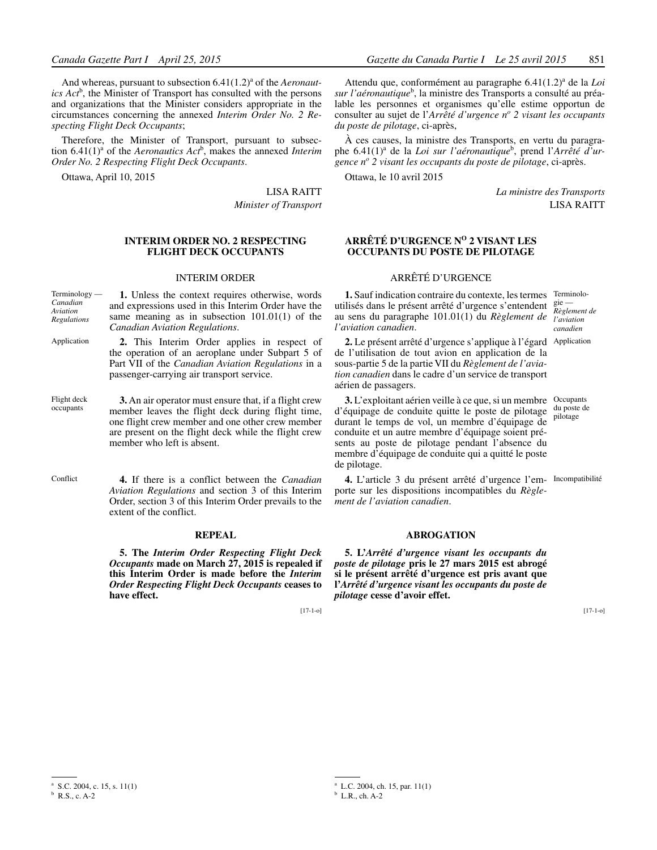And whereas, pursuant to subsection 6.41(1.2)<sup>a</sup> of the *Aeronaut* $i$ cs  $Act^b$ , the Minister of Transport has consulted with the persons and organizations that the Minister considers appropriate in the circumstances concerning the annexed *Interim Order No. 2 Respecting Flight Deck Occupants*;

Therefore, the Minister of Transport, pursuant to subsection  $6.41(1)^{a}$  of the *Aeronautics Act*<sup>b</sup>, makes the annexed *Interim Order No. 2 Respecting Flight Deck Occupants*.

Ottawa, April 10, 2015

LISA RAITT

*Minister of Transport*

#### **INTERIM ORDER NO. 2 RESPECTING FLIGHT DECK OCCUPANTS**

#### INTERIM ORDER

- **1.** Unless the context requires otherwise, words and expressions used in this Interim Order have the same meaning as in subsection 101.01(1) of the *Canadian Aviation Regulations*. Terminology — *Canadian Aviation Regulations*
- **2.** This Interim Order applies in respect of the operation of an aeroplane under Subpart 5 of Part VII of the *Canadian Aviation Regulations* in a passenger-carrying air transport service. Application
- **3.** An air operator must ensure that, if a flight crew member leaves the flight deck during flight time, one flight crew member and one other crew member are present on the flight deck while the flight crew member who left is absent. Flight deck occupants
- **4.** If there is a conflict between the *Canadian Aviation Regulations* and section 3 of this Interim Order, section 3 of this Interim Order prevails to the extent of the conflict. Conflict

#### **REPEAL**

**5. The** *Interim Order Respecting Flight Deck Occupants* **made on March 27, 2015 is repealed if this Interim Order is made before the** *Interim Order Respecting Flight Deck Occupants* **ceases to have effect.**

[17-1-o]

Attendu que, conformément au paragraphe 6.41(1.2)<sup>a</sup> de la *Loi* sur l'aéronautique<sup>b</sup>, la ministre des Transports a consulté au préalable les personnes et organismes qu'elle estime opportun de consulter au sujet de l'*Arrêté d'urgence n<sup>o</sup> 2 visant les occupants du poste de pilotage*, ci-après,

À ces causes, la ministre des Transports, en vertu du paragraphe 6.41(1)<sup>a</sup> de la *Loi sur l'aéronautique*<sup>b</sup>, prend l'Arrêté d'ur*gence no 2 visant les occupants du poste de pilotage*, ci-après.

Ottawa, le 10 avril 2015

*La ministre des Transports* LISA RAITT

#### **ARRÊTÉ D'URGENCE NO 2 VISANT LES OCCUPANTS DU POSTE DE PILOTAGE**

#### ARRÊTÉ D'URGENCE

**1.** Sauf indication contraire du contexte, les termes utilisés dans le présent arrêté d'urgence s'entendent  $\frac{g_0}{g}$ au sens du paragraphe 101.01(1) du *Règlement de l'aviation canadien*.

Terminolo-*Règlement de l'aviation canadien*

**2.** Le présent arrêté d'urgence s'applique à l'égard Application de l'utilisation de tout avion en application de la sous-partie 5 de la partie VII du *Règlement de l'aviation canadien* dans le cadre d'un service de transport aérien de passagers.

**3.** L'exploitant aérien veille à ce que, si un membre Occupants d'équipage de conduite quitte le poste de pilotage du poste de durant le temps de vol, un membre d'équipage de conduite et un autre membre d'équipage soient présents au poste de pilotage pendant l'absence du membre d'équipage de conduite qui a quitté le poste de pilotage. pilotage

**4.** L'article 3 du présent arrêté d'urgence l'em-Incompatibilité porte sur les dispositions incompatibles du *Règlement de l'aviation canadien*.

#### **ABROGATION**

**5. L'***Arrêté d'urgence visant les occupants du poste de pilotage* **pris le 27 mars 2015 est abrogé si le présent arrêté d'urgence est pris avant que l'***Arrêté d'urgence visant les occupants du poste de pilotage* **cesse d'avoir effet.**

<sup>&</sup>lt;sup>a</sup> S.C. 2004, c. 15, s.  $11(1)$ <sup>b</sup> R.S., c. A-2

<sup>&</sup>lt;sup>a</sup> L.C. 2004, ch. 15, par.  $11(1)$ <sup>b</sup> L.R., ch. A-2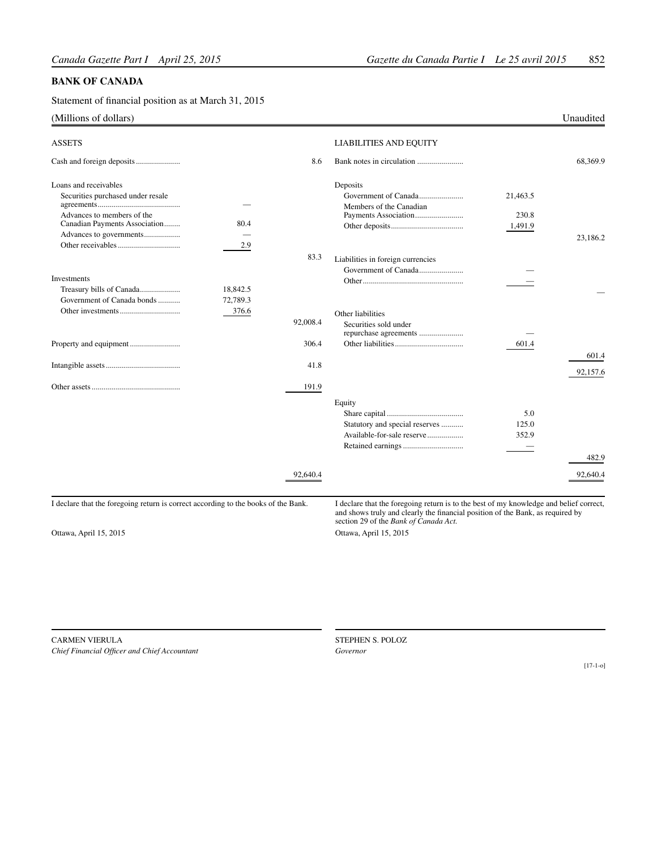#### **BANK OF CANADA**

Statement of financial position as at March 31, 2015

#### (Millions of dollars) Unaudited

| <b>ASSETS</b>                                                                      |          |          | <b>LIABILITIES AND EQUITY</b>                                                                                                                                                                                     |                       |                   |
|------------------------------------------------------------------------------------|----------|----------|-------------------------------------------------------------------------------------------------------------------------------------------------------------------------------------------------------------------|-----------------------|-------------------|
|                                                                                    |          | 8.6      |                                                                                                                                                                                                                   |                       | 68.369.9          |
| Loans and receivables                                                              |          |          | Deposits                                                                                                                                                                                                          |                       |                   |
| Securities purchased under resale                                                  |          |          | Government of Canada<br>Members of the Canadian                                                                                                                                                                   | 21.463.5              |                   |
| Advances to members of the<br>Canadian Payments Association                        | 80.4     |          |                                                                                                                                                                                                                   | 230.8<br>1,491.9      |                   |
| Advances to governments                                                            | 2.9      |          |                                                                                                                                                                                                                   |                       | 23.186.2          |
|                                                                                    |          | 83.3     | Liabilities in foreign currencies                                                                                                                                                                                 |                       |                   |
| Investments<br>Treasury bills of Canada                                            | 18.842.5 |          |                                                                                                                                                                                                                   |                       |                   |
| Government of Canada bonds                                                         | 72,789.3 |          |                                                                                                                                                                                                                   |                       |                   |
|                                                                                    | 376.6    | 92,008.4 | Other liabilities<br>Securities sold under<br>repurchase agreements                                                                                                                                               |                       |                   |
|                                                                                    |          | 306.4    |                                                                                                                                                                                                                   | 601.4                 |                   |
|                                                                                    |          | 41.8     |                                                                                                                                                                                                                   |                       | 601.4<br>92.157.6 |
|                                                                                    |          | 191.9    |                                                                                                                                                                                                                   |                       |                   |
|                                                                                    |          |          | Equity<br>Statutory and special reserves<br>Available-for-sale reserve                                                                                                                                            | 5.0<br>125.0<br>352.9 |                   |
|                                                                                    |          |          |                                                                                                                                                                                                                   |                       | 482.9             |
|                                                                                    |          | 92,640.4 |                                                                                                                                                                                                                   |                       | 92,640.4          |
| I declare that the foregoing return is correct according to the books of the Bank. |          |          | I declare that the foregoing return is to the best of my knowledge and belief correct,<br>and shows truly and clearly the financial position of the Bank, as required by<br>section 29 of the Bank of Canada Act. |                       |                   |
| Ottawa, April 15, 2015                                                             |          |          | Ottawa, April 15, 2015                                                                                                                                                                                            |                       |                   |

Carmen Vierula *Chief Financial Officer and Chief Accountant*

STEPHEN S. POLOZ *Governor*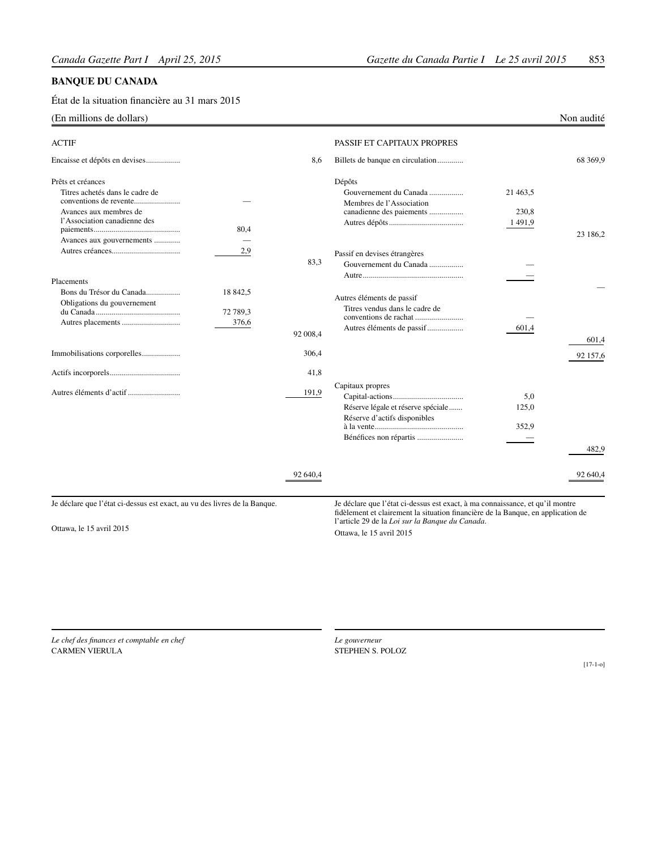#### **BANQUE DU CANADA**

État de la situation financière au 31 mars 2015

### (En millions de dollars) Non audité

| <b>ACTIF</b>                                                                                                                                |                               |          | PASSIF ET CAPITAUX PROPRES                                                                                                                                        |                             |          |
|---------------------------------------------------------------------------------------------------------------------------------------------|-------------------------------|----------|-------------------------------------------------------------------------------------------------------------------------------------------------------------------|-----------------------------|----------|
| Encaisse et dépôts en devises                                                                                                               |                               | 8,6      | Billets de banque en circulation                                                                                                                                  |                             | 68 369,9 |
| Prêts et créances<br>Titres achetés dans le cadre de<br>Avances aux membres de<br>l'Association canadienne des<br>Avances aux gouvernements | 80,4                          |          | Dépôts<br>Gouvernement du Canada<br>Membres de l'Association<br>canadienne des paiements                                                                          | 21 463.5<br>230,8<br>1491,9 | 23 186,2 |
|                                                                                                                                             | 2,9                           | 83,3     | Passif en devises étrangères<br>Gouvernement du Canada                                                                                                            |                             |          |
| Placements<br>Bons du Trésor du Canada<br>Obligations du gouvernement                                                                       | 18 842,5<br>72 789,3<br>376,6 | 92 008.4 | Autres éléments de passif<br>Titres vendus dans le cadre de<br>Autres éléments de passif                                                                          | 601,4                       | 601,4    |
| Immobilisations corporelles                                                                                                                 |                               | 306,4    |                                                                                                                                                                   |                             | 92 157,6 |
|                                                                                                                                             |                               | 41,8     |                                                                                                                                                                   |                             |          |
|                                                                                                                                             |                               | 191,9    | Capitaux propres<br>Réserve légale et réserve spéciale<br>Réserve d'actifs disponibles<br>Bénéfices non répartis                                                  | 5,0<br>125,0<br>352.9       | 482.9    |
|                                                                                                                                             |                               | 92 640,4 |                                                                                                                                                                   |                             | 92 640,4 |
| Je déclare que l'état ci-dessus est exact, au vu des livres de la Banque.                                                                   |                               |          | Je déclare que l'état ci-dessus est exact, à ma connaissance, et qu'il montre<br>fidèlement et clairement la situation financière de la Banque, en application de |                             |          |

Ottawa, le 15 avril 2015

l'article 29 de la *Loi sur la Banque du Canada*. Ottawa, le 15 avril 2015

*Le chef des finances et comptable en chef* Carmen Vierula

*Le gouverneur* STEPHEN S. POLOZ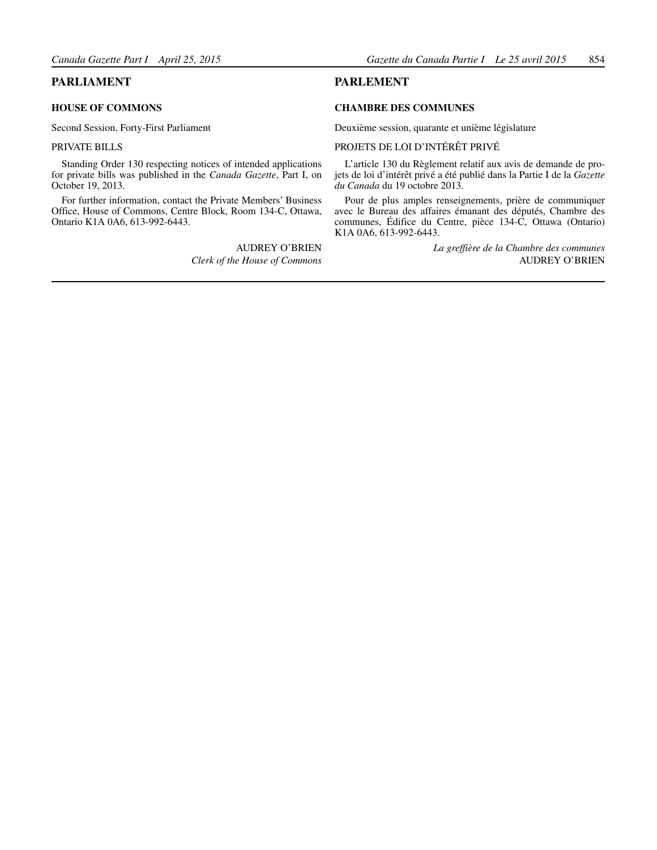#### <span id="page-16-0"></span>**PARLIAMENT**

#### **HOUSE OF COMMONS**

Second Session, Forty-First Parliament

#### PRIVATE BILLS

Standing Order 130 respecting notices of intended applications for private bills was published in the *Canada Gazette*, Part I, on October 19, 2013.

For further information, contact the Private Members' Business Office, House of Commons, Centre Block, Room 134-C, Ottawa, Ontario K1A 0A6, 613-992-6443.

> AUDREY O'BRIEN *Clerk of the House of Commons*

#### **PARLEMENT**

#### **CHAMBRE DES COMMUNES**

Deuxième session, quarante et unième législature

#### PROJETS DE LOI D'INTÉRÊT PRIVÉ

L'article 130 du Règlement relatif aux avis de demande de projets de loi d'intérêt privé a été publié dans la Partie I de la *Gazette du Canada* du 19 octobre 2013.

Pour de plus amples renseignements, prière de communiquer avec le Bureau des affaires émanant des députés, Chambre des communes, Édifice du Centre, pièce 134-C, Ottawa (Ontario) K1A 0A6, 613-992-6443.

> *La greffière de la Chambre des communes*  AUDREY O'BRIEN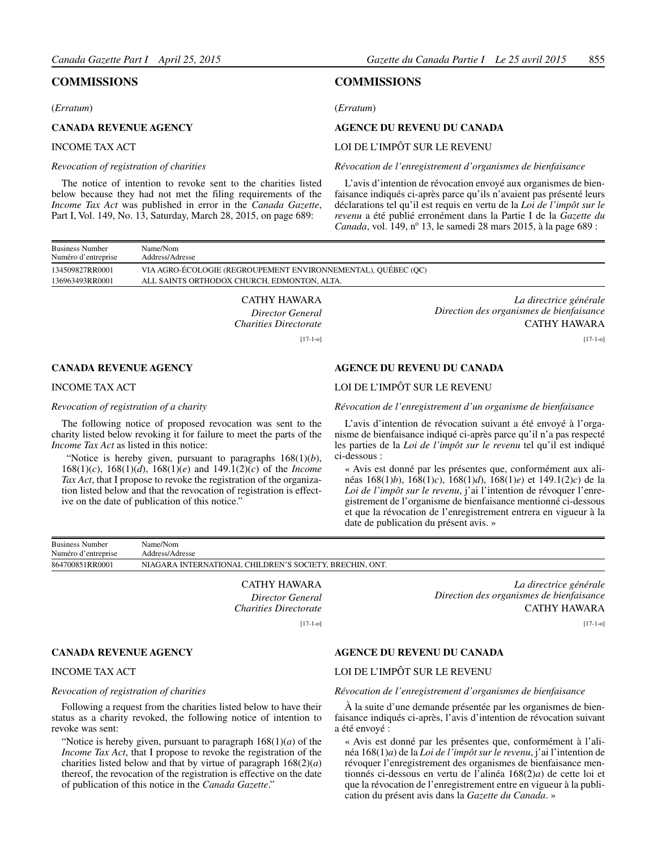#### <span id="page-17-0"></span>**COMMISSIONS**

#### (*Erratum*)

#### **CANADA REVENUE AGENCY**

#### INCOME TAX ACT

#### *Revocation of registration of charities*

The notice of intention to revoke sent to the charities listed below because they had not met the filing requirements of the *Income Tax Act* was published in error in the *Canada Gazette*, Part I, Vol. 149, No. 13, Saturday, March 28, 2015, on page 689:

#### **COMMISSIONS**

(*Erratum*)

#### **AGENCE DU REVENU DU CANADA**

#### LOI DE L'IMPÔT SUR LE REVENU

#### *Révocation de l'enregistrement d'organismes de bienfaisance*

L'avis d'intention de révocation envoyé aux organismes de bienfaisance indiqués ci-après parce qu'ils n'avaient pas présenté leurs déclarations tel qu'il est requis en vertu de la *Loi de l'impôt sur le revenu* a été publié erronément dans la Partie I de la *Gazette du Canada*, vol. 149, n<sup>o</sup> 13, le samedi 28 mars 2015, à la page 689 :

| <b>Business Number</b><br>Numéro d'entreprise | Name/Nom<br>Address/Adresse                                   |
|-----------------------------------------------|---------------------------------------------------------------|
| 134509827RR0001                               | VIA AGRO-ÉCOLOGIE (REGROUPEMENT ENVIRONNEMENTAL), QUÉBEC (OC) |
| 136963493RR0001                               | ALL SAINTS ORTHODOX CHURCH, EDMONTON, ALTA.                   |
|                                               |                                                               |

CATHY HAWARA *Director General Charities Directorate* [17-1-o]

#### **CANADA REVENUE AGENCY**

#### INCOME TAX ACT

#### *Revocation of registration of a charity*

The following notice of proposed revocation was sent to the charity listed below revoking it for failure to meet the parts of the *Income Tax Act* as listed in this notice:

 "Notice is hereby given, pursuant to paragraphs 168(1)(*b*), 168(1)(*c*), 168(1)(*d*), 168(1)(*e*) and 149.1(2)(*c*) of the *Income Tax Act*, that I propose to revoke the registration of the organization listed below and that the revocation of registration is effective on the date of publication of this notice."

*La directrice générale Direction des organismes de bienfaisance* CATHY HAWARA

[17-1-o]

#### **AGENCE DU REVENU DU CANADA**

#### LOI DE L'IMPÔT SUR LE REVENU

*Révocation de l'enregistrement d'un organisme de bienfaisance*

L'avis d'intention de révocation suivant a été envoyé à l'organisme de bienfaisance indiqué ci-après parce qu'il n'a pas respecté les parties de la *Loi de l'impôt sur le revenu* tel qu'il est indiqué ci-dessous :

« Avis est donné par les présentes que, conformément aux alinéas 168(1)*b*), 168(1)*c*), 168(1)*d*), 168(1)*e*) et 149.1(2)*c*) de la *Loi de l'impôt sur le revenu*, j'ai l'intention de révoquer l'enregistrement de l'organisme de bienfaisance mentionné ci-dessous et que la révocation de l'enregistrement entrera en vigueur à la date de publication du présent avis. »

| <b>Business Number</b> | Name/Nom                                                |
|------------------------|---------------------------------------------------------|
| Numéro d'entreprise    | Address/Adresse                                         |
| 864700851RR0001        | NIAGARA INTERNATIONAL CHILDREN'S SOCIETY, BRECHIN, ONT. |

CATHY HAWARA *Director General Charities Directorate*  $[17-1-0]$ 

*La directrice générale Direction des organismes de bienfaisance* CATHY HAWARA

[17-1-o]

#### **CANADA REVENUE AGENCY**

#### INCOME TAX ACT

#### *Revocation of registration of charities*

Following a request from the charities listed below to have their status as a charity revoked, the following notice of intention to revoke was sent:

"Notice is hereby given, pursuant to paragraph 168(1)(*a*) of the *Income Tax Act*, that I propose to revoke the registration of the charities listed below and that by virtue of paragraph  $168(2)(a)$ thereof, the revocation of the registration is effective on the date of publication of this notice in the *Canada Gazette*."

#### **AGENCE DU REVENU DU CANADA**

#### LOI DE L'IMPÔT SUR LE REVENU

#### *Révocation de l'enregistrement d'organismes de bienfaisance*

À la suite d'une demande présentée par les organismes de bienfaisance indiqués ci-après, l'avis d'intention de révocation suivant a été envoyé :

« Avis est donné par les présentes que, conformément à l'alinéa 168(1)*a*) de la *Loi de l'impôt sur le revenu*, j'ai l'intention de révoquer l'enregistrement des organismes de bienfaisance mentionnés ci-dessous en vertu de l'alinéa 168(2)*a*) de cette loi et que la révocation de l'enregistrement entre en vigueur à la publication du présent avis dans la *Gazette du Canada*. »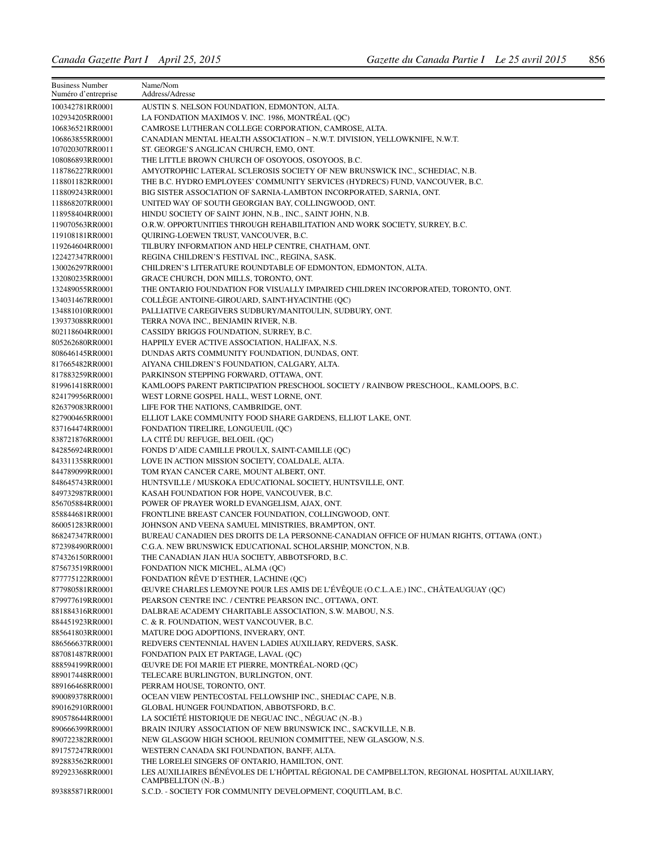| <b>Business Number</b><br>Numéro d'entreprise | Name/Nom<br>Address/Adresse                                                                              |
|-----------------------------------------------|----------------------------------------------------------------------------------------------------------|
| 100342781RR0001                               | AUSTIN S. NELSON FOUNDATION, EDMONTON, ALTA.                                                             |
| 102934205RR0001                               | LA FONDATION MAXIMOS V. INC. 1986, MONTRÉAL (QC)                                                         |
| 106836521RR0001                               | CAMROSE LUTHERAN COLLEGE CORPORATION, CAMROSE, ALTA.                                                     |
| 106863855RR0001                               | CANADIAN MENTAL HEALTH ASSOCIATION - N.W.T. DIVISION, YELLOWKNIFE, N.W.T.                                |
| 107020307RR0011                               | ST. GEORGE'S ANGLICAN CHURCH, EMO, ONT.                                                                  |
| 108086893RR0001                               | THE LITTLE BROWN CHURCH OF OSOYOOS, OSOYOOS, B.C.                                                        |
| 118786227RR0001                               | AMYOTROPHIC LATERAL SCLEROSIS SOCIETY OF NEW BRUNSWICK INC., SCHEDIAC, N.B.                              |
| 118801182RR0001                               | THE B.C. HYDRO EMPLOYEES' COMMUNITY SERVICES (HYDRECS) FUND, VANCOUVER, B.C.                             |
| 118809243RR0001                               | BIG SISTER ASSOCIATION OF SARNIA-LAMBTON INCORPORATED, SARNIA, ONT.                                      |
| 118868207RR0001                               | UNITED WAY OF SOUTH GEORGIAN BAY, COLLINGWOOD, ONT.                                                      |
| 118958404RR0001                               | HINDU SOCIETY OF SAINT JOHN, N.B., INC., SAINT JOHN, N.B.                                                |
| 119070563RR0001                               | O.R.W. OPPORTUNITIES THROUGH REHABILITATION AND WORK SOCIETY, SURREY, B.C.                               |
| 119108181RR0001                               | QUIRING-LOEWEN TRUST, VANCOUVER, B.C.                                                                    |
| 119264604RR0001                               | TILBURY INFORMATION AND HELP CENTRE, CHATHAM, ONT.                                                       |
| 122427347RR0001                               | REGINA CHILDREN'S FESTIVAL INC., REGINA, SASK.                                                           |
| 130026297RR0001                               | CHILDREN'S LITERATURE ROUNDTABLE OF EDMONTON, EDMONTON, ALTA.                                            |
| 132080235RR0001                               | GRACE CHURCH, DON MILLS, TORONTO, ONT.                                                                   |
| 132489055RR0001                               | THE ONTARIO FOUNDATION FOR VISUALLY IMPAIRED CHILDREN INCORPORATED, TORONTO, ONT.                        |
| 134031467RR0001                               | COLLÉGE ANTOINE-GIROUARD, SAINT-HYACINTHE (QC)                                                           |
| 134881010RR0001                               | PALLIATIVE CAREGIVERS SUDBURY/MANITOULIN, SUDBURY, ONT.                                                  |
| 139373088RR0001                               | TERRA NOVA INC., BENJAMIN RIVER, N.B.                                                                    |
| 802118604RR0001                               | CASSIDY BRIGGS FOUNDATION, SURREY, B.C.                                                                  |
| 805262680RR0001                               | HAPPILY EVER ACTIVE ASSOCIATION, HALIFAX, N.S.                                                           |
| 808646145RR0001                               | DUNDAS ARTS COMMUNITY FOUNDATION, DUNDAS, ONT.                                                           |
| 817665482RR0001                               | AIYANA CHILDREN'S FOUNDATION, CALGARY, ALTA.                                                             |
| 817883259RR0001                               | PARKINSON STEPPING FORWARD, OTTAWA, ONT.                                                                 |
| 819961418RR0001                               | KAMLOOPS PARENT PARTICIPATION PRESCHOOL SOCIETY / RAINBOW PRESCHOOL, KAMLOOPS, B.C.                      |
| 824179956RR0001                               | WEST LORNE GOSPEL HALL, WEST LORNE, ONT.                                                                 |
| 826379083RR0001                               | LIFE FOR THE NATIONS, CAMBRIDGE, ONT.                                                                    |
| 827900465RR0001                               | ELLIOT LAKE COMMUNITY FOOD SHARE GARDENS, ELLIOT LAKE, ONT.                                              |
| 837164474RR0001<br>838721876RR0001            | FONDATION TIRELIRE, LONGUEUIL (QC)<br>LA CITÉ DU REFUGE, BELOEIL (QC)                                    |
| 842856924RR0001                               | FONDS D'AIDE CAMILLE PROULX, SAINT-CAMILLE (QC)                                                          |
| 843311358RR0001                               | LOVE IN ACTION MISSION SOCIETY, COALDALE, ALTA.                                                          |
| 844789099RR0001                               | TOM RYAN CANCER CARE, MOUNT ALBERT, ONT.                                                                 |
| 848645743RR0001                               | HUNTSVILLE / MUSKOKA EDUCATIONAL SOCIETY, HUNTSVILLE, ONT.                                               |
| 849732987RR0001                               | KASAH FOUNDATION FOR HOPE, VANCOUVER, B.C.                                                               |
| 856705884RR0001                               | POWER OF PRAYER WORLD EVANGELISM, AJAX, ONT.                                                             |
| 858844681RR0001                               | FRONTLINE BREAST CANCER FOUNDATION, COLLINGWOOD, ONT.                                                    |
| 860051283RR0001                               | JOHNSON AND VEENA SAMUEL MINISTRIES, BRAMPTON, ONT.                                                      |
| 868247347RR0001                               | BUREAU CANADIEN DES DROITS DE LA PERSONNE-CANADIAN OFFICE OF HUMAN RIGHTS, OTTAWA (ONT.)                 |
| 872398490RR0001                               | C.G.A. NEW BRUNSWICK EDUCATIONAL SCHOLARSHIP, MONCTON, N.B.                                              |
| 874326150RR0001                               | THE CANADIAN JIAN HUA SOCIETY, ABBOTSFORD, B.C.                                                          |
| 875673519RR0001                               | FONDATION NICK MICHEL, ALMA (QC)                                                                         |
| 877775122RR0001                               | FONDATION RÊVE D'ESTHER, LACHINE (QC)                                                                    |
| 877980581RR0001                               | ŒUVRE CHARLES LEMOYNE POUR LES AMIS DE L'ÉVÊQUE (O.C.L.A.E.) INC., CHÂTEAUGUAY (QC)                      |
| 879977619RR0001                               | PEARSON CENTRE INC. / CENTRE PEARSON INC., OTTAWA, ONT.                                                  |
| 881884316RR0001                               | DALBRAE ACADEMY CHARITABLE ASSOCIATION, S.W. MABOU, N.S.                                                 |
| 884451923RR0001                               | C. & R. FOUNDATION, WEST VANCOUVER, B.C.                                                                 |
| 885641803RR0001                               | MATURE DOG ADOPTIONS, INVERARY, ONT.                                                                     |
| 886566637RR0001                               | REDVERS CENTENNIAL HAVEN LADIES AUXILIARY, REDVERS, SASK.                                                |
| 887081487RR0001                               | FONDATION PAIX ET PARTAGE, LAVAL (QC)                                                                    |
| 888594199RR0001                               | ŒUVRE DE FOI MARIE ET PIERRE, MONTRÉAL-NORD (QC)                                                         |
| 889017448RR0001<br>889166468RR0001            | TELECARE BURLINGTON, BURLINGTON, ONT.                                                                    |
|                                               | PERRAM HOUSE, TORONTO, ONT.                                                                              |
| 890089378RR0001<br>890162910RR0001            | OCEAN VIEW PENTECOSTAL FELLOWSHIP INC., SHEDIAC CAPE, N.B.<br>GLOBAL HUNGER FOUNDATION, ABBOTSFORD, B.C. |
| 890578644RR0001                               | LA SOCIÉTÉ HISTORIQUE DE NEGUAC INC., NÉGUAC (N.-B.)                                                     |
| 890666399RR0001                               | BRAIN INJURY ASSOCIATION OF NEW BRUNSWICK INC., SACKVILLE, N.B.                                          |
| 890722382RR0001                               | NEW GLASGOW HIGH SCHOOL REUNION COMMITTEE, NEW GLASGOW, N.S.                                             |
| 891757247RR0001                               | WESTERN CANADA SKI FOUNDATION, BANFF, ALTA.                                                              |
| 892883562RR0001                               | THE LORELEI SINGERS OF ONTARIO, HAMILTON, ONT.                                                           |
| 892923368RR0001                               | LES AUXILIAIRES BÉNÉVOLES DE L'HÔPITAL RÉGIONAL DE CAMPBELLTON, REGIONAL HOSPITAL AUXILIARY,             |
| 893885871RR0001                               | CAMPBELLTON (N.-B.)<br>S.C.D. - SOCIETY FOR COMMUNITY DEVELOPMENT, COQUITLAM, B.C.                       |
|                                               |                                                                                                          |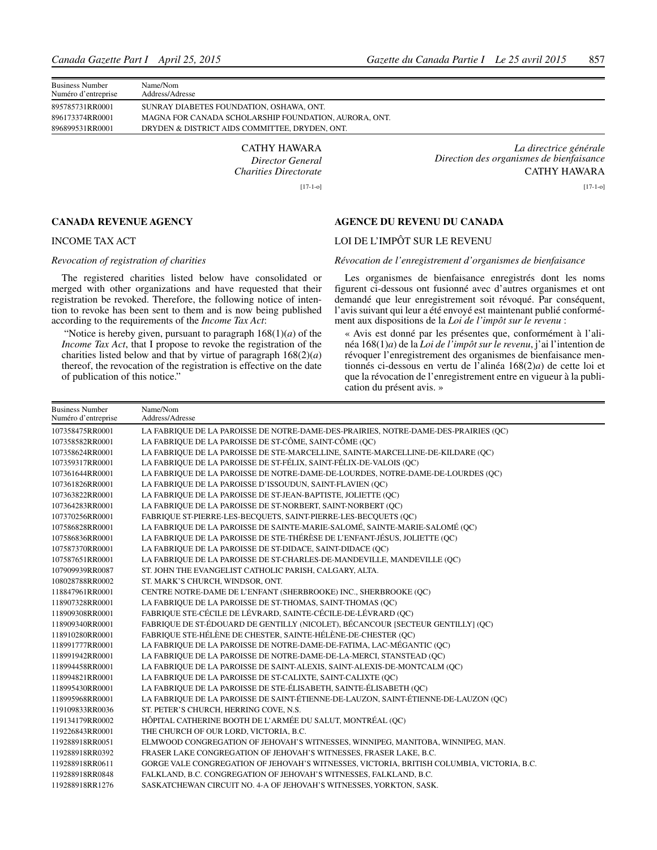| <b>Business Number</b><br>Numéro d'entreprise | Name/Nom<br>Address/Adresse                           |
|-----------------------------------------------|-------------------------------------------------------|
| 895785731RR0001                               | SUNRAY DIABETES FOUNDATION, OSHAWA, ONT.              |
| 896173374RR0001                               | MAGNA FOR CANADA SCHOLARSHIP FOUNDATION, AURORA, ONT. |
| 896899531RR0001                               | DRYDEN & DISTRICT AIDS COMMITTEE, DRYDEN, ONT.        |
|                                               |                                                       |

CATHY HAWARA *Director General Charities Directorate* [17-1-o]

*La directrice générale Direction des organismes de bienfaisance* CATHY HAWARA

[17-1-o]

#### **CANADA REVENUE AGENCY**

#### INCOME TAX ACT

#### *Revocation of registration of charities*

The registered charities listed below have consolidated or merged with other organizations and have requested that their registration be revoked. Therefore, the following notice of intention to revoke has been sent to them and is now being published according to the requirements of the *Income Tax Act*:

 "Notice is hereby given, pursuant to paragraph 168(1)(*a*) of the *Income Tax Act*, that I propose to revoke the registration of the charities listed below and that by virtue of paragraph  $168(2)(a)$ thereof, the revocation of the registration is effective on the date of publication of this notice."

#### **AGENCE DU REVENU DU CANADA**

#### LOI DE L'IMPÔT SUR LE REVENU

#### *Révocation de l'enregistrement d'organismes de bienfaisance*

Les organismes de bienfaisance enregistrés dont les noms figurent ci-dessous ont fusionné avec d'autres organismes et ont demandé que leur enregistrement soit révoqué. Par conséquent, l'avis suivant qui leur a été envoyé est maintenant publié conformément aux dispositions de la *Loi de l'impôt sur le revenu* :

« Avis est donné par les présentes que, conformément à l'alinéa 168(1)*a*) de la *Loi de l'impôt sur le revenu*, j'ai l'intention de révoquer l'enregistrement des organismes de bienfaisance mentionnés ci-dessous en vertu de l'alinéa 168(2)*a*) de cette loi et que la révocation de l'enregistrement entre en vigueur à la publication du présent avis. »

| <b>Business Number</b><br>Numéro d'entreprise | Name/Nom<br>Address/Adresse                                                                |
|-----------------------------------------------|--------------------------------------------------------------------------------------------|
| 107358475RR0001                               | LA FABRIQUE DE LA PAROISSE DE NOTRE-DAME-DES-PRAIRIES, NOTRE-DAME-DES-PRAIRIES (QC)        |
| 107358582RR0001                               | LA FABRIQUE DE LA PAROISSE DE ST-CÔME, SAINT-CÔME (OC)                                     |
| 107358624RR0001                               | LA FABRIQUE DE LA PAROISSE DE STE-MARCELLINE, SAINTE-MARCELLINE-DE-KILDARE (QC)            |
| 107359317RR0001                               | LA FABRIQUE DE LA PAROISSE DE ST-FÉLIX, SAINT-FÉLIX-DE-VALOIS (QC)                         |
| 107361644RR0001                               | LA FABRIQUE DE LA PAROISSE DE NOTRE-DAME-DE-LOURDES, NOTRE-DAME-DE-LOURDES (OC)            |
| 107361826RR0001                               | LA FABRIQUE DE LA PAROISSE D'ISSOUDUN, SAINT-FLAVIEN (QC)                                  |
| 107363822RR0001                               | LA FABRIQUE DE LA PAROISSE DE ST-JEAN-BAPTISTE, JOLIETTE (QC)                              |
| 107364283RR0001                               | LA FABRIQUE DE LA PAROISSE DE ST-NORBERT, SAINT-NORBERT (QC)                               |
| 107370256RR0001                               | FABRIOUE ST-PIERRE-LES-BECOUETS, SAINT-PIERRE-LES-BECOUETS (OC)                            |
| 107586828RR0001                               | LA FABRIQUE DE LA PAROISSE DE SAINTE-MARIE-SALOMÉ, SAINTE-MARIE-SALOMÉ (QC)                |
| 107586836RR0001                               | LA FABRIQUE DE LA PAROISSE DE STE-THÉRÈSE DE L'ENFANT-JÉSUS, JOLIETTE (QC)                 |
| 107587370RR0001                               | LA FABRIQUE DE LA PAROISSE DE ST-DIDACE, SAINT-DIDACE (QC)                                 |
| 107587651RR0001                               | LA FABRIQUE DE LA PAROISSE DE ST-CHARLES-DE-MANDEVILLE, MANDEVILLE (QC)                    |
| 107909939RR0087                               | ST. JOHN THE EVANGELIST CATHOLIC PARISH, CALGARY, ALTA.                                    |
| 108028788RR0002                               | ST. MARK'S CHURCH, WINDSOR, ONT.                                                           |
| 118847961RR0001                               | CENTRE NOTRE-DAME DE L'ENFANT (SHERBROOKE) INC., SHERBROOKE (QC)                           |
| 118907328RR0001                               | LA FABRIQUE DE LA PAROISSE DE ST-THOMAS, SAINT-THOMAS (QC)                                 |
| 118909308RR0001                               | FABRIQUE STE-CÉCILE DE LÉVRARD, SAINTE-CÉCILE-DE-LÉVRARD (QC)                              |
| 118909340RR0001                               | FABRIQUE DE ST-ÉDOUARD DE GENTILLY (NICOLET), BÉCANCOUR [SECTEUR GENTILLY] (QC)            |
| 118910280RR0001                               | FABRIQUE STE-HÉLÈNE DE CHESTER, SAINTE-HÉLÈNE-DE-CHESTER (QC)                              |
| 118991777RR0001                               | LA FABRIQUE DE LA PAROISSE DE NOTRE-DAME-DE-FATIMA, LAC-MÉGANTIC (QC)                      |
| 118991942RR0001                               | LA FABRIQUE DE LA PAROISSE DE NOTRE-DAME-DE-LA-MERCI, STANSTEAD (QC)                       |
| 118994458RR0001                               | LA FABRIQUE DE LA PAROISSE DE SAINT-ALEXIS, SAINT-ALEXIS-DE-MONTCALM (QC)                  |
| 118994821RR0001                               | LA FABRIQUE DE LA PAROISSE DE ST-CALIXTE, SAINT-CALIXTE (QC)                               |
| 118995430RR0001                               | LA FABRIQUE DE LA PAROISSE DE STE-ÉLISABETH, SAINTE-ÉLISABETH (QC)                         |
| 118995968RR0001                               | LA FABRIQUE DE LA PAROISSE DE SAINT-ÉTIENNE-DE-LAUZON, SAINT-ÉTIENNE-DE-LAUZON (OC)        |
| 119109833RR0036                               | ST. PETER'S CHURCH, HERRING COVE, N.S.                                                     |
| 119134179RR0002                               | HÔPITAL CATHERINE BOOTH DE L'ARMÉE DU SALUT, MONTRÉAL (QC)                                 |
| 119226843RR0001                               | THE CHURCH OF OUR LORD, VICTORIA, B.C.                                                     |
| 119288918RR0051                               | ELMWOOD CONGREGATION OF JEHOVAH'S WITNESSES, WINNIPEG, MANITOBA, WINNIPEG, MAN.            |
| 119288918RR0392                               | FRASER LAKE CONGREGATION OF JEHOVAH'S WITNESSES, FRASER LAKE, B.C.                         |
| 119288918RR0611                               | GORGE VALE CONGREGATION OF JEHOVAH'S WITNESSES, VICTORIA, BRITISH COLUMBIA, VICTORIA, B.C. |
| 119288918RR0848                               | FALKLAND, B.C. CONGREGATION OF JEHOVAH'S WITNESSES, FALKLAND, B.C.                         |
| 119288918RR1276                               | SASKATCHEWAN CIRCUIT NO. 4-A OF JEHOVAH'S WITNESSES, YORKTON, SASK.                        |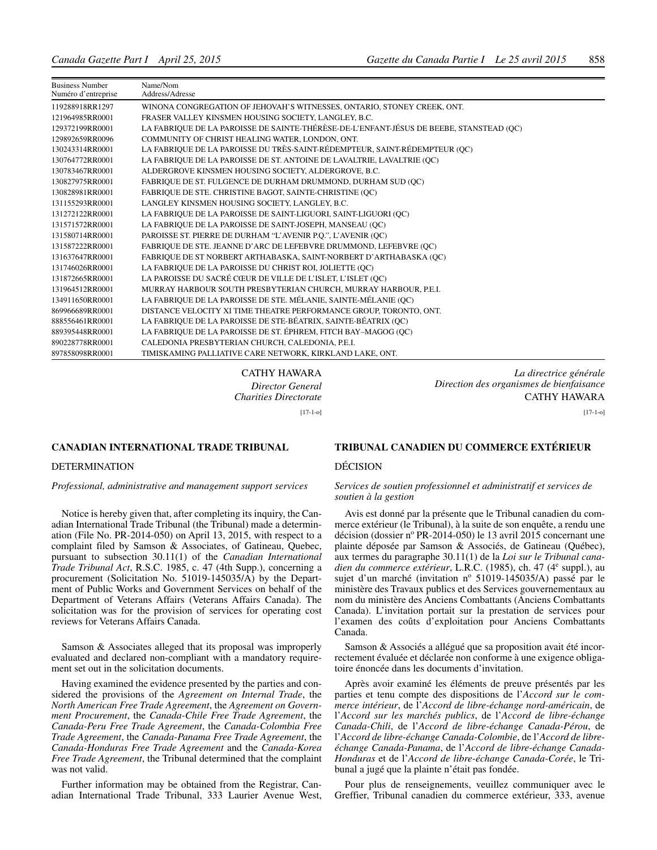| <b>Business Number</b><br>Numéro d'entreprise | Name/Nom<br>Address/Adresse                                                             |  |
|-----------------------------------------------|-----------------------------------------------------------------------------------------|--|
| 119288918RR1297                               | WINONA CONGREGATION OF JEHOVAH'S WITNESSES, ONTARIO, STONEY CREEK, ONT.                 |  |
| 121964985RR0001                               | FRASER VALLEY KINSMEN HOUSING SOCIETY, LANGLEY, B.C.                                    |  |
| 129372199RR0001                               | LA FABRIQUE DE LA PAROISSE DE SAINTE-THÉRÈSE-DE-L'ENFANT-JÉSUS DE BEEBE, STANSTEAD (OC) |  |
| 129892659RR0096                               | COMMUNITY OF CHRIST HEALING WATER, LONDON, ONT.                                         |  |
| 130243314RR0001                               | LA FABRIQUE DE LA PAROISSE DU TRÈS-SAINT-RÉDEMPTEUR, SAINT-RÉDEMPTEUR (QC)              |  |
| 130764772RR0001                               | LA FABRIQUE DE LA PAROISSE DE ST. ANTOINE DE LAVALTRIE, LAVALTRIE (QC)                  |  |
| 130783467RR0001                               | ALDERGROVE KINSMEN HOUSING SOCIETY, ALDERGROVE, B.C.                                    |  |
| 130827975RR0001                               | FABRIOUE DE ST. FULGENCE DE DURHAM DRUMMOND, DURHAM SUD (OC)                            |  |
| 130828981RR0001                               | FABRIQUE DE STE. CHRISTINE BAGOT, SAINTE-CHRISTINE (QC)                                 |  |
| 131155293RR0001                               | LANGLEY KINSMEN HOUSING SOCIETY, LANGLEY, B.C.                                          |  |
| 131272122RR0001                               | LA FABRIQUE DE LA PAROISSE DE SAINT-LIGUORI, SAINT-LIGUORI (OC)                         |  |
| 131571572RR0001                               | LA FABRIQUE DE LA PAROISSE DE SAINT-JOSEPH, MANSEAU (QC)                                |  |
| 131580714RR0001                               | PAROISSE ST. PIERRE DE DURHAM "L'AVENIR P.O.", L'AVENIR (OC)                            |  |
| 131587222RR0001                               | FABRIQUE DE STE. JEANNE D'ARC DE LEFEBVRE DRUMMOND, LEFEBVRE (QC)                       |  |
| 131637647RR0001                               | FABRIQUE DE ST NORBERT ARTHABASKA, SAINT-NORBERT D'ARTHABASKA (QC)                      |  |
| 131746026RR0001                               | LA FABRIQUE DE LA PAROISSE DU CHRIST ROI, JOLIETTE (QC)                                 |  |
| 131872665RR0001                               | LA PAROISSE DU SACRÉ CŒUR DE VILLE DE L'ISLET, L'ISLET (OC)                             |  |
| 131964512RR0001                               | MURRAY HARBOUR SOUTH PRESBYTERIAN CHURCH, MURRAY HARBOUR, P.E.I.                        |  |
| 134911650RR0001                               | LA FABRIQUE DE LA PAROISSE DE STE. MÉLANIE, SAINTE-MÉLANIE (QC)                         |  |
| 869966689RR0001                               | DISTANCE VELOCITY XI TIME THEATRE PERFORMANCE GROUP, TORONTO, ONT.                      |  |
| 888556461RR0001                               | LA FABRIQUE DE LA PAROISSE DE STE-BÉATRIX, SAINTE-BÉATRIX (QC)                          |  |
| 889395448RR0001                               | LA FABRIQUE DE LA PAROISSE DE ST. ÉPHREM, FITCH BAY-MAGOG (QC)                          |  |
| 890228778RR0001                               | CALEDONIA PRESBYTERIAN CHURCH, CALEDONIA, P.E.I.                                        |  |
| 897858098RR0001                               | TIMISKAMING PALLIATIVE CARE NETWORK, KIRKLAND LAKE, ONT.                                |  |

CATHY HAWARA *Director General Charities Directorate* [17-1-o]

#### **CANADIAN INTERNATIONAL TRADE TRIBUNAL**

#### DETERMINATION

*Professional, administrative and management support services*

Notice is hereby given that, after completing its inquiry, the Canadian International Trade Tribunal (the Tribunal) made a determination (File No. PR-2014-050) on April 13, 2015, with respect to a complaint filed by Samson & Associates, of Gatineau, Quebec, pursuant to subsection 30.11(1) of the *Canadian International Trade Tribunal Act*, R.S.C. 1985, c. 47 (4th Supp.), concerning a procurement (Solicitation No. 51019-145035/A) by the Department of Public Works and Government Services on behalf of the Department of Veterans Affairs (Veterans Affairs Canada). The solicitation was for the provision of services for operating cost reviews for Veterans Affairs Canada.

Samson & Associates alleged that its proposal was improperly evaluated and declared non-compliant with a mandatory requirement set out in the solicitation documents.

Having examined the evidence presented by the parties and considered the provisions of the *Agreement on Internal Trade*, the *North American Free Trade Agreement*, the *Agreement on Government Procurement*, the *Canada-Chile Free Trade Agreement*, the *Canada-Peru Free Trade Agreement*, the *Canada-Colombia Free Trade Agreement*, the *Canada-Panama Free Trade Agreement*, the *Canada-Honduras Free Trade Agreement* and the *Canada-Korea Free Trade Agreement*, the Tribunal determined that the complaint was not valid.

Further information may be obtained from the Registrar, Canadian International Trade Tribunal, 333 Laurier Avenue West,

*La directrice générale Direction des organismes de bienfaisance* CATHY HAWARA

[17-1-o]

#### **TRIBUNAL CANADIEN DU COMMERCE EXTÉRIEUR**

#### DÉCISION

#### *Services de soutien professionnel et administratif et services de soutien à la gestion*

Avis est donné par la présente que le Tribunal canadien du commerce extérieur (le Tribunal), à la suite de son enquête, a rendu une décision (dossier nº PR-2014-050) le 13 avril 2015 concernant une plainte déposée par Samson & Associés, de Gatineau (Québec), aux termes du paragraphe 30.11(1) de la *Loi sur le Tribunal cana*dien du commerce extérieur, L.R.C. (1985), ch. 47 (4<sup>e</sup> suppl.), au sujet d'un marché (invitation nº 51019-145035/A) passé par le ministère des Travaux publics et des Services gouvernementaux au nom du ministère des Anciens Combattants (Anciens Combattants Canada). L'invitation portait sur la prestation de services pour l'examen des coûts d'exploitation pour Anciens Combattants Canada.

Samson & Associés a allégué que sa proposition avait été incorrectement évaluée et déclarée non conforme à une exigence obligatoire énoncée dans les documents d'invitation.

Après avoir examiné les éléments de preuve présentés par les parties et tenu compte des dispositions de l'*Accord sur le commerce intérieur*, de l'*Accord de libre-échange nord-américain*, de l'*Accord sur les marchés publics*, de l'*Accord de libre-échange Canada-Chili*, de l'*Accord de libre-échange Canada-Pérou*, de l'*Accord de libre-échange Canada-Colombie*, de l'*Accord de libreéchange Canada-Panama*, de l'*Accord de libre-échange Canada-Honduras* et de l'*Accord de libre-échange Canada-Corée*, le Tribunal a jugé que la plainte n'était pas fondée.

Pour plus de renseignements, veuillez communiquer avec le Greffier, Tribunal canadien du commerce extérieur, 333, avenue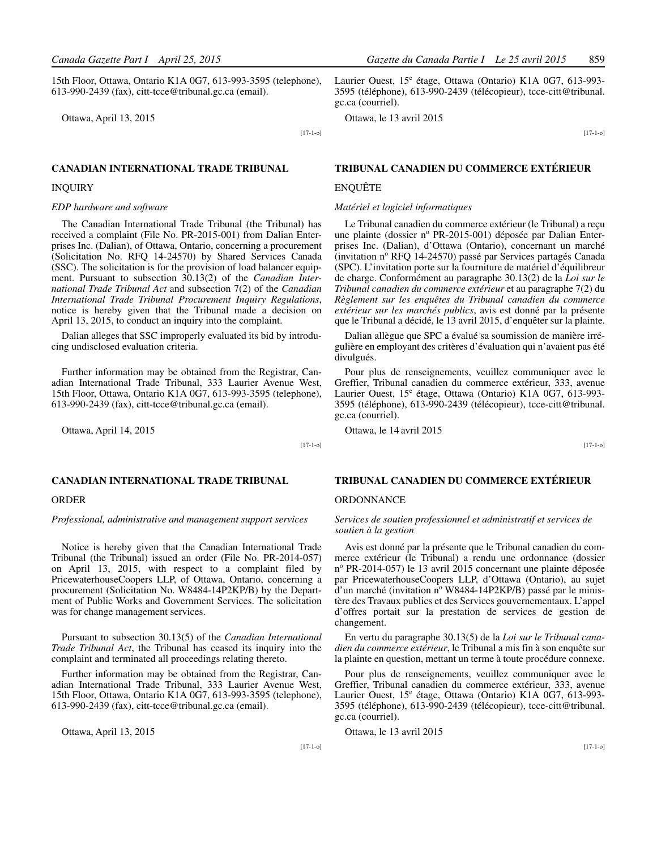15th Floor, Ottawa, Ontario K1A 0G7, 613-993-3595 (telephone), 613-990-2439 (fax), citt-tcce@tribunal.gc.ca (email).

Ottawa, April 13, 2015

[17-1-o]

#### **CANADIAN INTERNATIONAL TRADE TRIBUNAL**

#### INQUIRY

#### *EDP hardware and software*

The Canadian International Trade Tribunal (the Tribunal) has received a complaint (File No. PR-2015-001) from Dalian Enterprises Inc. (Dalian), of Ottawa, Ontario, concerning a procurement (Solicitation No. RFQ 14-24570) by Shared Services Canada (SSC). The solicitation is for the provision of load balancer equipment. Pursuant to subsection 30.13(2) of the *Canadian International Trade Tribunal Act* and subsection 7(2) of the *Canadian International Trade Tribunal Procurement Inquiry Regulations*, notice is hereby given that the Tribunal made a decision on April 13, 2015, to conduct an inquiry into the complaint.

Dalian alleges that SSC improperly evaluated its bid by introducing undisclosed evaluation criteria.

Further information may be obtained from the Registrar, Canadian International Trade Tribunal, 333 Laurier Avenue West, 15th Floor, Ottawa, Ontario K1A 0G7, 613-993-3595 (telephone), 613-990-2439 (fax), citt-tcce@tribunal.gc.ca (email).

Ottawa, April 14, 2015

[17-1-o]

#### **CANADIAN INTERNATIONAL TRADE TRIBUNAL**

#### ORDER

*Professional, administrative and management support services*

Notice is hereby given that the Canadian International Trade Tribunal (the Tribunal) issued an order (File No. PR-2014-057) on April 13, 2015, with respect to a complaint filed by PricewaterhouseCoopers LLP, of Ottawa, Ontario, concerning a procurement (Solicitation No. W8484-14P2KP/B) by the Department of Public Works and Government Services. The solicitation was for change management services.

Pursuant to subsection 30.13(5) of the *Canadian International Trade Tribunal Act*, the Tribunal has ceased its inquiry into the complaint and terminated all proceedings relating thereto.

Further information may be obtained from the Registrar, Canadian International Trade Tribunal, 333 Laurier Avenue West, 15th Floor, Ottawa, Ontario K1A 0G7, 613-993-3595 (telephone), 613-990-2439 (fax), citt-tcce@tribunal.gc.ca (email).

Ottawa, April 13, 2015

*Canada Gazette Part I April 25, 2015 Gazette du Canada Partie I Le 25 avril 2015* 859

Laurier Ouest, 15<sup>e</sup> étage, Ottawa (Ontario) K1A 0G7, 613-993-3595 (téléphone), 613-990-2439 (télécopieur), tcce-citt@tribunal. gc.ca (courriel).

Ottawa, le 13 avril 2015

[17-1-o]

#### **TRIBUNAL CANADIEN DU COMMERCE EXTÉRIEUR**

#### ENQUÊTE

#### *Matériel et logiciel informatiques*

Le Tribunal canadien du commerce extérieur (le Tribunal) a reçu une plainte (dossier nº PR-2015-001) déposée par Dalian Enterprises Inc. (Dalian), d'Ottawa (Ontario), concernant un marché (invitation nº RFQ 14-24570) passé par Services partagés Canada (SPC). L'invitation porte sur la fourniture de matériel d'équilibreur de charge. Conformément au paragraphe 30.13(2) de la *Loi sur le Tribunal canadien du commerce extérieur* et au paragraphe 7(2) du *Règlement sur les enquêtes du Tribunal canadien du commerce extérieur sur les marchés publics*, avis est donné par la présente que le Tribunal a décidé, le 13 avril 2015, d'enquêter sur la plainte.

Dalian allègue que SPC a évalué sa soumission de manière irrégulière en employant des critères d'évaluation qui n'avaient pas été divulgués.

Pour plus de renseignements, veuillez communiquer avec le Greffier, Tribunal canadien du commerce extérieur, 333, avenue Laurier Ouest, 15<sup>e</sup> étage, Ottawa (Ontario) K1A 0G7, 613-993-3595 (téléphone), 613-990-2439 (télécopieur), tcce-citt@tribunal. gc.ca (courriel).

Ottawa, le 14 avril 2015

[17-1-o]

#### **TRIBUNAL CANADIEN DU COMMERCE EXTÉRIEUR**

#### **ORDONNANCE**

*Services de soutien professionnel et administratif et services de soutien à la gestion*

Avis est donné par la présente que le Tribunal canadien du commerce extérieur (le Tribunal) a rendu une ordonnance (dossier n<sup>o</sup> PR-2014-057) le 13 avril 2015 concernant une plainte déposée par PricewaterhouseCoopers LLP, d'Ottawa (Ontario), au sujet  $\hat{d}$ 'un marché (invitation nº W8484-14P2KP/B) passé par le ministère des Travaux publics et des Services gouvernementaux. L'appel d'offres portait sur la prestation de services de gestion de changement.

En vertu du paragraphe 30.13(5) de la *Loi sur le Tribunal canadien du commerce extérieur*, le Tribunal a mis fin à son enquête sur la plainte en question, mettant un terme à toute procédure connexe.

Pour plus de renseignements, veuillez communiquer avec le Greffier, Tribunal canadien du commerce extérieur, 333, avenue Laurier Ouest, 15<sup>e</sup> étage, Ottawa (Ontario) K1A 0G7, 613-993-3595 (téléphone), 613-990-2439 (télécopieur), tcce-citt@tribunal. gc.ca (courriel).

Ottawa, le 13 avril 2015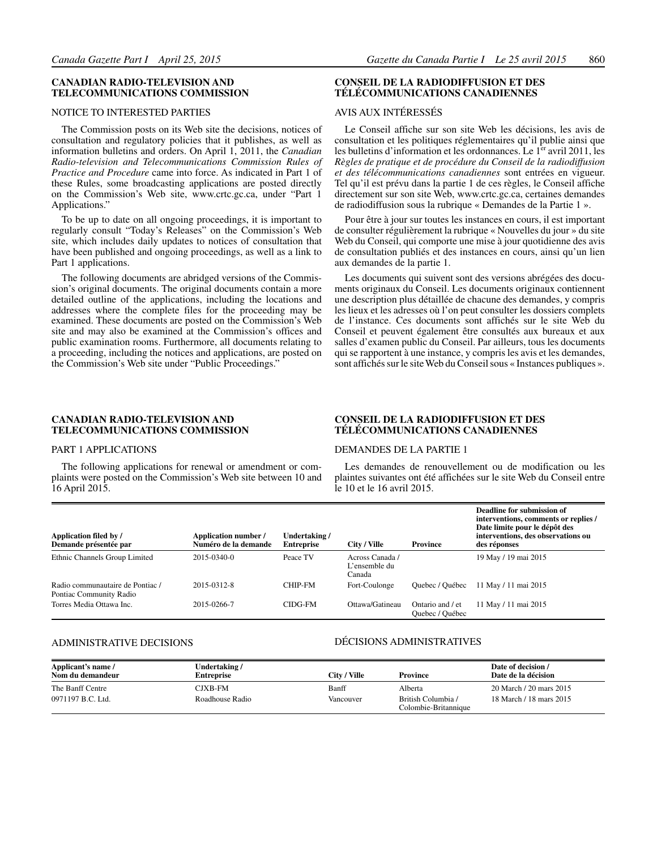#### **CANADIAN RADIO-TELEVISION AND TELECOMMUNICATIONS COMMISSION**

#### NOTICE TO INTERESTED PARTIES

The Commission posts on its Web site the decisions, notices of consultation and regulatory policies that it publishes, as well as information bulletins and orders. On April 1, 2011, the *Canadian Radio-television and Telecommunications Commission Rules of Practice and Procedure* came into force. As indicated in Part 1 of these Rules, some broadcasting applications are posted directly on the Commission's Web site, www.crtc.gc.ca, under "Part 1 Applications."

To be up to date on all ongoing proceedings, it is important to regularly consult "Today's Releases" on the Commission's Web site, which includes daily updates to notices of consultation that have been published and ongoing proceedings, as well as a link to Part 1 applications.

The following documents are abridged versions of the Commission's original documents. The original documents contain a more detailed outline of the applications, including the locations and addresses where the complete files for the proceeding may be examined. These documents are posted on the Commission's Web site and may also be examined at the Commission's offices and public examination rooms. Furthermore, all documents relating to a proceeding, including the notices and applications, are posted on the Commission's Web site under "Public Proceedings."

#### **CONSEIL DE LA RADIODIFFUSION ET DES TÉLÉCOMMUNICATIONS CANADIENNES**

#### AVIS AUX INTÉRESSÉS

Le Conseil affiche sur son site Web les décisions, les avis de consultation et les politiques réglementaires qu'il publie ainsi que les bulletins d'information et les ordonnances. Le  $1<sup>er</sup>$  avril 2011, les *Règles de pratique et de procédure du Conseil de la radiodiffusion et des télécommunications canadiennes* sont entrées en vigueur. Tel qu'il est prévu dans la partie 1 de ces règles, le Conseil affiche directement sur son site Web, www.crtc.gc.ca, certaines demandes de radiodiffusion sous la rubrique « Demandes de la Partie 1 ».

Pour être à jour sur toutes les instances en cours, il est important de consulter régulièrement la rubrique « Nouvelles du jour » du site Web du Conseil, qui comporte une mise à jour quotidienne des avis de consultation publiés et des instances en cours, ainsi qu'un lien aux demandes de la partie 1.

Les documents qui suivent sont des versions abrégées des documents originaux du Conseil. Les documents originaux contiennent une description plus détaillée de chacune des demandes, y compris les lieux et les adresses où l'on peut consulter les dossiers complets de l'instance. Ces documents sont affichés sur le site Web du Conseil et peuvent également être consultés aux bureaux et aux salles d'examen public du Conseil. Par ailleurs, tous les documents qui se rapportent à une instance, y compris les avis et les demandes, sont affichés sur le site Web du Conseil sous « Instances publiques ».

#### **CANADIAN RADIO-TELEVISION AND TELECOMMUNICATIONS COMMISSION**

#### PART 1 APPLICATIONS

The following applications for renewal or amendment or complaints were posted on the Commission's Web site between 10 and 16 April 2015.

#### **CONSEIL DE LA RADIODIFFUSION ET DES TÉLÉCOMMUNICATIONS CANADIENNES**

#### DEMANDES DE LA PARTIE 1

Les demandes de renouvellement ou de modification ou les plaintes suivantes ont été affichées sur le site Web du Conseil entre le 10 et le 16 avril 2015.

| Application filed by /<br>Demande présentée par             | Application number /<br>Numéro de la demande | Undertaking/<br><b>Entreprise</b> | City / Ville                               | <b>Province</b>                     | Deadline for submission of<br>interventions, comments or replies /<br>Date limite pour le dépôt des<br>interventions, des observations ou<br>des réponses |
|-------------------------------------------------------------|----------------------------------------------|-----------------------------------|--------------------------------------------|-------------------------------------|-----------------------------------------------------------------------------------------------------------------------------------------------------------|
| Ethnic Channels Group Limited                               | 2015-0340-0                                  | Peace TV                          | Across Canada /<br>L'ensemble du<br>Canada |                                     | 19 May / 19 mai 2015                                                                                                                                      |
| Radio communautaire de Pontiac /<br>Pontiac Community Radio | 2015-0312-8                                  | CHIP-FM                           | Fort-Coulonge                              | Ouebec / Ouébec                     | 11 May / 11 mai 2015                                                                                                                                      |
| Torres Media Ottawa Inc.                                    | 2015-0266-7                                  | CIDG-FM                           | Ottawa/Gatineau                            | Ontario and / et<br>Quebec / Québec | 11 May / 11 mai 2015                                                                                                                                      |

#### ADMINISTRATIVE DECISIONS

#### DÉCISIONS ADMINISTRATIVES

| Applicant's name /<br>Nom du demandeur | Undertaking /<br><b>Entreprise</b> | City / Ville | <b>Province</b>                            | Date of decision /<br>Date de la décision |
|----------------------------------------|------------------------------------|--------------|--------------------------------------------|-------------------------------------------|
| The Banff Centre                       | CJXB-FM                            | Banff        | Alberta                                    | 20 March / 20 mars 2015                   |
| 0971197 B.C. Ltd.                      | Roadhouse Radio                    | Vancouver    | British Columbia /<br>Colombie-Britannique | 18 March / 18 mars 2015                   |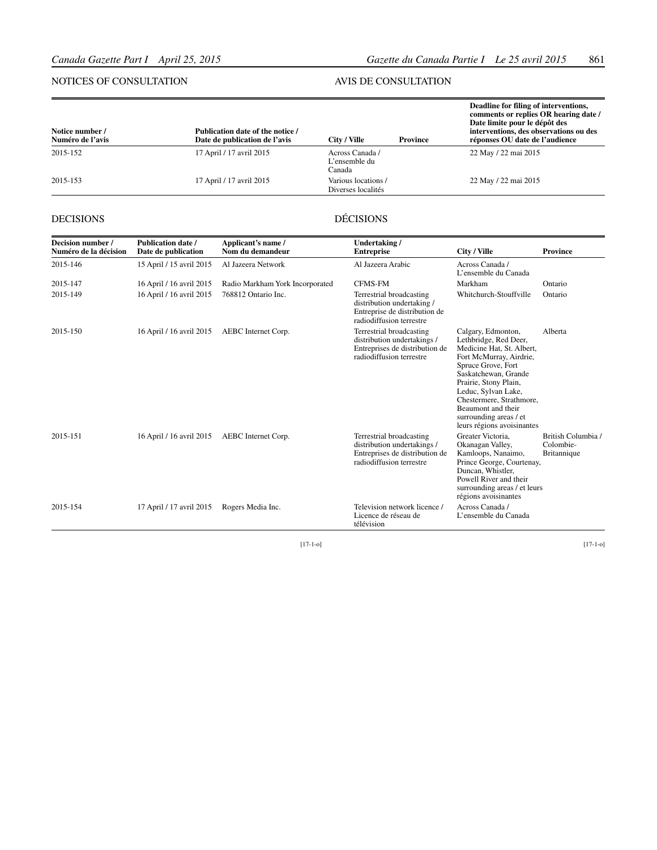#### NOTICES OF CONSULTATION

#### AVIS DE CONSULTATION

| Notice number /<br>Numéro de l'avis | Publication date of the notice /<br>Date de publication de l'avis | City / Ville                               | <b>Province</b> | Deadline for filing of interventions,<br>comments or replies OR hearing date /<br>Date limite pour le dépôt des<br>interventions, des observations ou des<br>réponses OU date de l'audience |
|-------------------------------------|-------------------------------------------------------------------|--------------------------------------------|-----------------|---------------------------------------------------------------------------------------------------------------------------------------------------------------------------------------------|
| 2015-152                            | 17 April / 17 avril 2015                                          | Across Canada /<br>L'ensemble du<br>Canada |                 | 22 May / 22 mai 2015                                                                                                                                                                        |
| 2015-153                            | 17 April / 17 avril 2015                                          | Various locations /<br>Diverses localités  |                 | 22 May / 22 mai 2015                                                                                                                                                                        |

#### DECISIONS

#### DÉCISIONS

| Decision number /<br>Numéro de la décision | <b>Publication date /</b><br>Date de publication | Applicant's name /<br>Nom du demandeur | Undertaking/<br><b>Entreprise</b>                                                                                     | City / Ville                                                                                                                                                                                                                                                                                                | <b>Province</b>                                |
|--------------------------------------------|--------------------------------------------------|----------------------------------------|-----------------------------------------------------------------------------------------------------------------------|-------------------------------------------------------------------------------------------------------------------------------------------------------------------------------------------------------------------------------------------------------------------------------------------------------------|------------------------------------------------|
| 2015-146                                   | 15 April / 15 avril 2015                         | Al Jazeera Network                     | Al Jazeera Arabic                                                                                                     | Across Canada /<br>L'ensemble du Canada                                                                                                                                                                                                                                                                     |                                                |
| 2015-147                                   | 16 April / 16 avril 2015                         | Radio Markham York Incorporated        | <b>CFMS-FM</b>                                                                                                        | Markham                                                                                                                                                                                                                                                                                                     | Ontario                                        |
| 2015-149                                   | 16 April / 16 avril 2015                         | 768812 Ontario Inc.                    | Terrestrial broadcasting<br>distribution undertaking /<br>Entreprise de distribution de<br>radiodiffusion terrestre   | Whitchurch-Stouffville                                                                                                                                                                                                                                                                                      | Ontario                                        |
| 2015-150                                   | 16 April / 16 avril 2015                         | AEBC Internet Corp.                    | Terrestrial broadcasting<br>distribution undertakings /<br>Entreprises de distribution de<br>radiodiffusion terrestre | Calgary, Edmonton,<br>Lethbridge, Red Deer,<br>Medicine Hat, St. Albert,<br>Fort McMurray, Airdrie,<br>Spruce Grove, Fort<br>Saskatchewan, Grande<br>Prairie, Stony Plain,<br>Leduc, Sylvan Lake,<br>Chestermere, Strathmore,<br>Beaumont and their<br>surrounding areas / et<br>leurs régions avoisinantes | Alberta                                        |
| 2015-151                                   | 16 April / 16 avril 2015                         | AEBC Internet Corp.                    | Terrestrial broadcasting<br>distribution undertakings /<br>Entreprises de distribution de<br>radiodiffusion terrestre | Greater Victoria.<br>Okanagan Valley,<br>Kamloops, Nanaimo,<br>Prince George, Courtenay,<br>Duncan, Whistler,<br>Powell River and their<br>surrounding areas / et leurs<br>régions avoisinantes                                                                                                             | British Columbia /<br>Colombie-<br>Britannique |
| 2015-154                                   | 17 April / 17 avril 2015                         | Rogers Media Inc.                      | Television network licence /<br>Licence de réseau de<br>télévision                                                    | Across Canada /<br>L'ensemble du Canada                                                                                                                                                                                                                                                                     |                                                |

[17-1-o]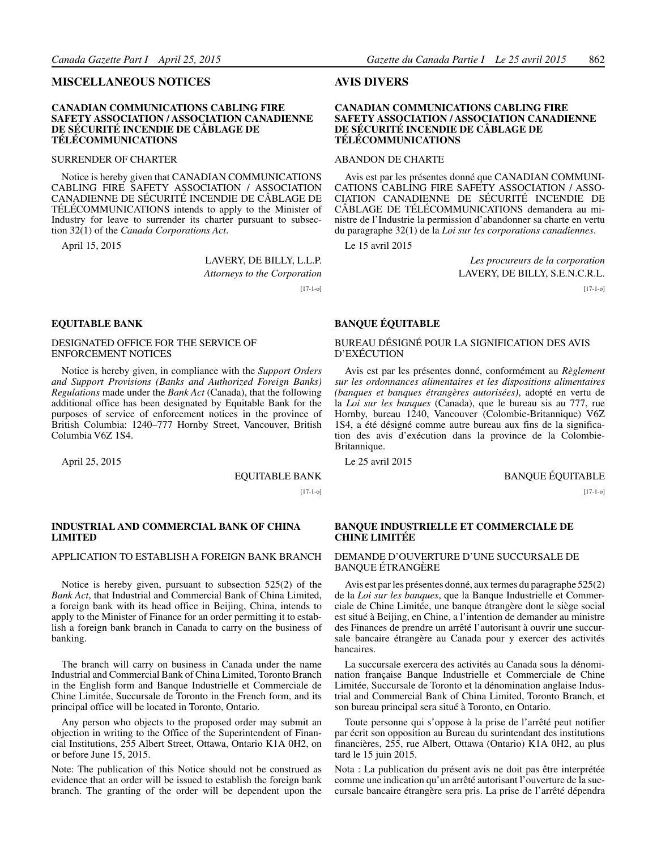#### <span id="page-24-0"></span>**MISCELLANEOUS NOTICES**

#### **CANADIAN COMMUNICATIONS CABLING FIRE SAFETY ASSOCIATION / ASSOCIATION CANADIENNE DE SÉCURITÉ INCENDIE DE CÂBLAGE DE TÉLÉCOMMUNICATIONS**

#### SURRENDER OF CHARTER

Notice is hereby given that CANADIAN COMMUNICATIONS CABLING FIRE SAFETY ASSOCIATION / ASSOCIATION CANADIENNE DE SÉCURITÉ INCENDIE DE CÂBLAGE DE TÉLÉCOMMUNICATIONS intends to apply to the Minister of Industry for leave to surrender its charter pursuant to subsection 32(1) of the *Canada Corporations Act*.

April 15, 2015

LAVERY, DE BILLY, L.L.P. *Attorneys to the Corporation*

[17-1-o]

#### **EQUITABLE BANK**

#### DESIGNATED OFFICE FOR THE SERVICE OF ENFORCEMENT NOTICES

Notice is hereby given, in compliance with the *Support Orders and Support Provisions (Banks and Authorized Foreign Banks) Regulations* made under the *Bank Act* (Canada), that the following additional office has been designated by Equitable Bank for the purposes of service of enforcement notices in the province of British Columbia: 1240–777 Hornby Street, Vancouver, British Columbia V6Z 1S4.

April 25, 2015

EQUITABLE BANK

 $[17-1-0]$ 

#### **INDUSTRIAL AND COMMERCIAL BANK OF CHINA LIMITED**

#### APPLICATION TO ESTABLISH A FOREIGN BANK BRANCH

Notice is hereby given, pursuant to subsection 525(2) of the *Bank Act*, that Industrial and Commercial Bank of China Limited, a foreign bank with its head office in Beijing, China, intends to apply to the Minister of Finance for an order permitting it to establish a foreign bank branch in Canada to carry on the business of banking.

The branch will carry on business in Canada under the name Industrial and Commercial Bank of China Limited, Toronto Branch in the English form and Banque Industrielle et Commerciale de Chine Limitée, Succursale de Toronto in the French form, and its principal office will be located in Toronto, Ontario.

Any person who objects to the proposed order may submit an objection in writing to the Office of the Superintendent of Financial Institutions, 255 Albert Street, Ottawa, Ontario K1A 0H2, on or before June 15, 2015.

Note: The publication of this Notice should not be construed as evidence that an order will be issued to establish the foreign bank branch. The granting of the order will be dependent upon the

#### **AVIS DIVERS**

#### **CANADIAN COMMUNICATIONS CABLING FIRE SAFETY ASSOCIATION / ASSOCIATION CANADIENNE DE SÉCURITÉ INCENDIE DE CÂBLAGE DE TÉLÉCOMMUNICATIONS**

#### ABANDON DE CHARTE

Avis est par les présentes donné que CANADIAN COMMUNI-CATIONS CABLING FIRE SAFETY ASSOCIATION / ASSO-CIATION CANADIENNE DE SÉCURITÉ INCENDIE DE CÂBLAGE DE TÉLÉCOMMUNICATIONS demandera au ministre de l'Industrie la permission d'abandonner sa charte en vertu du paragraphe 32(1) de la *Loi sur les corporations canadiennes*.

Le 15 avril 2015

*Les procureurs de la corporation* LAVERY, DE BILLY, S.E.N.C.R.L.

[17-1-o]

#### **BANQUE ÉQUITABLE**

#### BUREAU DÉSIGNÉ POUR LA SIGNIFICATION DES AVIS D'EXÉCUTION

Avis est par les présentes donné, conformément au *Règlement sur les ordonnances alimentaires et les dispositions alimentaires (banques et banques étrangères autorisées)*, adopté en vertu de la *Loi sur les banques* (Canada), que le bureau sis au 777, rue Hornby, bureau 1240, Vancouver (Colombie-Britannique) V6Z 1S4, a été désigné comme autre bureau aux fins de la signification des avis d'exécution dans la province de la Colombie-Britannique.

Le 25 avril 2015

BANQUE ÉQUITABLE

 $[17-1-0]$ 

#### **BANQUE INDUSTRIELLE ET COMMERCIALE DE CHINE LIMITÉE**

#### DEMANDE D'OUVERTURE D'UNE SUCCURSALE DE BANQUE ÉTRANGÈRE

Avis est par les présentes donné, aux termes du paragraphe 525(2) de la *Loi sur les banques*, que la Banque Industrielle et Commerciale de Chine Limitée, une banque étrangère dont le siège social est situé à Beijing, en Chine, a l'intention de demander au ministre des Finances de prendre un arrêté l'autorisant à ouvrir une succursale bancaire étrangère au Canada pour y exercer des activités bancaires.

La succursale exercera des activités au Canada sous la dénomination française Banque Industrielle et Commerciale de Chine Limitée, Succursale de Toronto et la dénomination anglaise Industrial and Commercial Bank of China Limited, Toronto Branch, et son bureau principal sera situé à Toronto, en Ontario.

Toute personne qui s'oppose à la prise de l'arrêté peut notifier par écrit son opposition au Bureau du surintendant des institutions financières, 255, rue Albert, Ottawa (Ontario) K1A 0H2, au plus tard le 15 juin 2015.

Nota : La publication du présent avis ne doit pas être interprétée comme une indication qu'un arrêté autorisant l'ouverture de la succursale bancaire étrangère sera pris. La prise de l'arrêté dépendra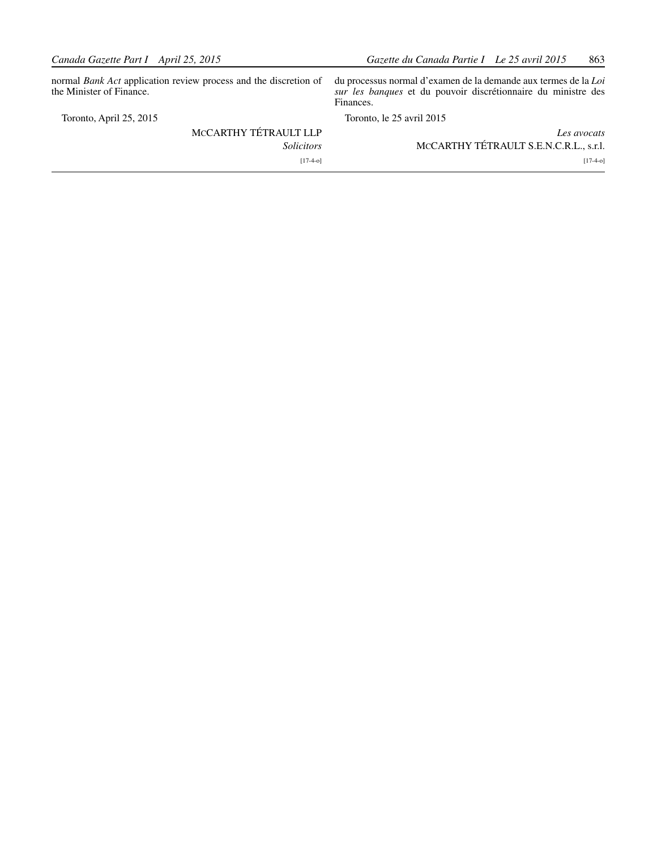normal *Bank Act* application review process and the discretion of the Minister of Finance.

Toronto, April 25, 2015

## McCARTHY TÉTRAULT LLP *Solicitors* [17-4-o]

du processus normal d'examen de la demande aux termes de la *Loi sur les banques* et du pouvoir discrétionnaire du ministre des Finances.

Toronto, le 25 avril 2015

| Les avocats                            |
|----------------------------------------|
| MCCARTHY TÉTRAULT S.E.N.C.R.L., s.r.l. |
| $[17-4-0]$                             |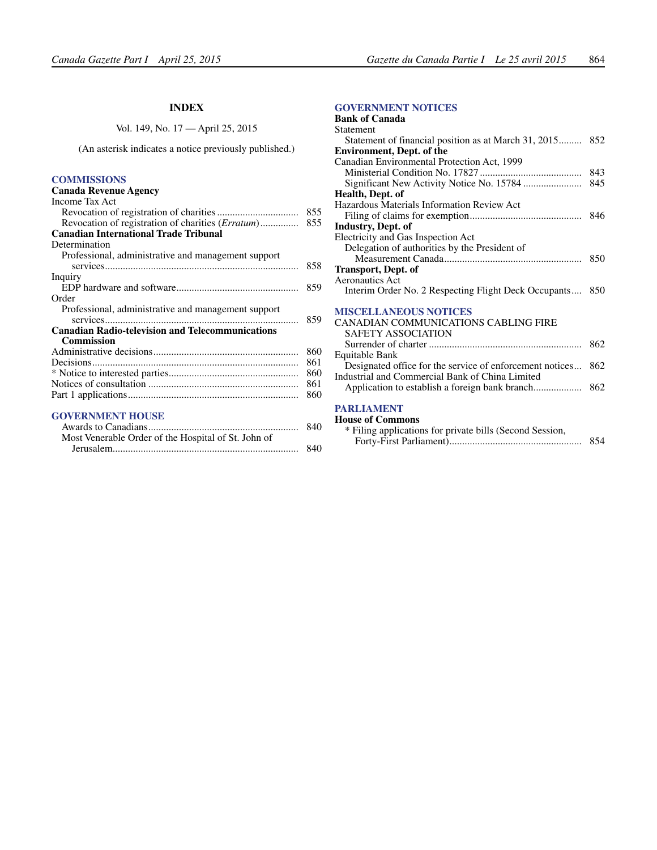#### **INDEX**

Vol. 149, No. 17 — April 25, 2015

<span id="page-26-0"></span>(An asterisk indicates a notice previously published.)

#### **[COMMISSIONS](#page-17-0)**

#### **Canada Revenue Agency** Income Tax Act

| Revocation of registration of charities ( <i>Erratum</i> ) | 855 |
|------------------------------------------------------------|-----|
| <b>Canadian International Trade Tribunal</b>               |     |
| Determination                                              |     |
| Professional, administrative and management support        | 858 |
| Inquiry                                                    |     |
|                                                            | 859 |
| Order                                                      |     |
| Professional, administrative and management support        |     |
|                                                            | 859 |
| <b>Canadian Radio-television and Telecommunications</b>    |     |
| <b>Commission</b>                                          |     |
|                                                            | 860 |
|                                                            | 861 |
|                                                            | 860 |
|                                                            | 861 |
|                                                            | 860 |

#### **[GOVERNMENT HOUSE](#page-2-0)**

| 840 |
|-----|
|     |
| 840 |
|     |

#### **[GOVERNMENT NOTICES](#page-5-0)**

| <b>Bank of Canada</b>                                    |     |
|----------------------------------------------------------|-----|
| <b>Statement</b>                                         |     |
| Statement of financial position as at March 31, 2015 852 |     |
| <b>Environment, Dept. of the</b>                         |     |
| Canadian Environmental Protection Act, 1999              |     |
|                                                          |     |
|                                                          | 845 |
| Health, Dept. of                                         |     |
| Hazardous Materials Information Review Act               |     |
|                                                          |     |
| <b>Industry, Dept. of</b>                                |     |
| Electricity and Gas Inspection Act                       |     |
| Delegation of authorities by the President of            |     |
|                                                          |     |
| <b>Transport, Dept. of</b>                               |     |
| <b>Aeronautics Act</b>                                   |     |
| Interim Order No. 2 Respecting Flight Deck Occupants 850 |     |
| <b>MISCELLANEOUS NOTICES</b>                             |     |
| <b>CANADIAN COMMUNICATIONS CABLING FIRE</b>              |     |
| <b>SAFETY ASSOCIATION</b>                                |     |
|                                                          | 862 |
| Equitable Bank                                           |     |
| Designated office for the service of enforcement notices | 862 |
| Industrial and Commercial Bank of China Limited          |     |
|                                                          |     |

#### **[PARLIAMENT](#page-16-0)**

| <b>House of Commons</b>                                  |     |
|----------------------------------------------------------|-----|
| * Filing applications for private bills (Second Session, |     |
|                                                          | 854 |